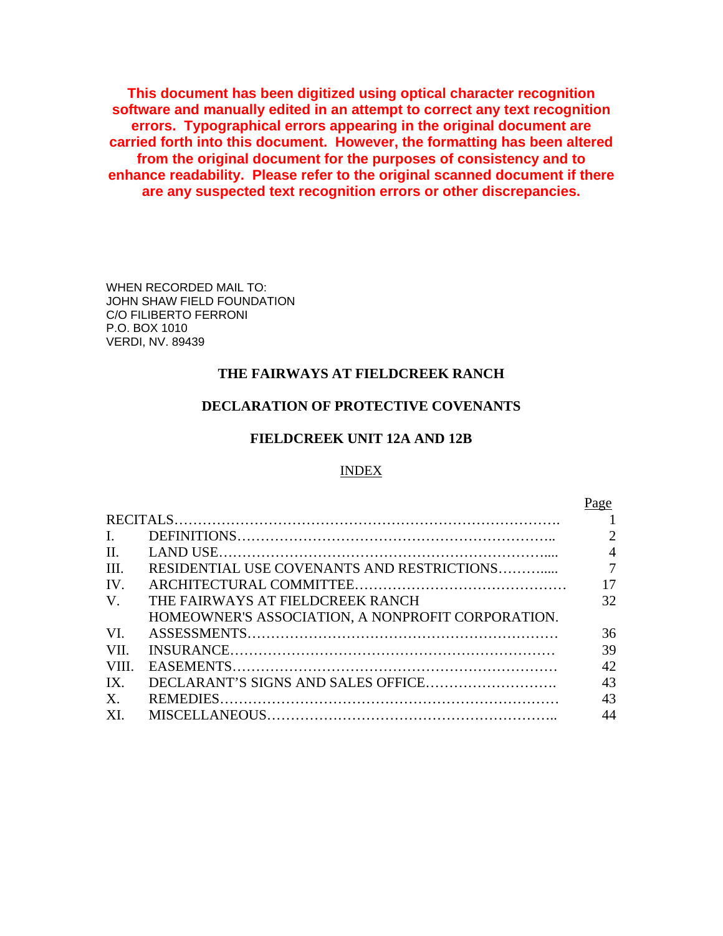**This document has been digitized using optical character recognition software and manually edited in an attempt to correct any text recognition errors. Typographical errors appearing in the original document are carried forth into this document. However, the formatting has been altered from the original document for the purposes of consistency and to enhance readability. Please refer to the original scanned document if there are any suspected text recognition errors or other discrepancies.** 

WHEN RECORDED MAIL TO: JOHN SHAW FIELD FOUNDATION C/O FILIBERTO FERRONI P.O. BOX 1010 VERDI, NV. 89439

## **THE FAIRWAYS AT FIELDCREEK RANCH**

## **DECLARATION OF PROTECTIVE COVENANTS**

## **FIELDCREEK UNIT 12A AND 12B**

### INDEX

 $p_{90}$ 

|                |                                                   | $\frac{1}{2}$  |
|----------------|---------------------------------------------------|----------------|
|                |                                                   |                |
| $\mathbf{I}$ . |                                                   | $\overline{2}$ |
| $\Pi$ .        |                                                   | $\overline{4}$ |
| III.           |                                                   |                |
| IV.            |                                                   | 17             |
| $V_{\cdot}$    | THE FAIRWAYS AT FIELDCREEK RANCH                  | 32             |
|                | HOMEOWNER'S ASSOCIATION, A NONPROFIT CORPORATION. |                |
| VI.            |                                                   | 36             |
| VII.           |                                                   | 39             |
| VIII.          |                                                   | 42             |
| IX.            |                                                   | 43             |
| $X_{\cdot}$    |                                                   | 43             |
| XI.            |                                                   | 44             |
|                |                                                   |                |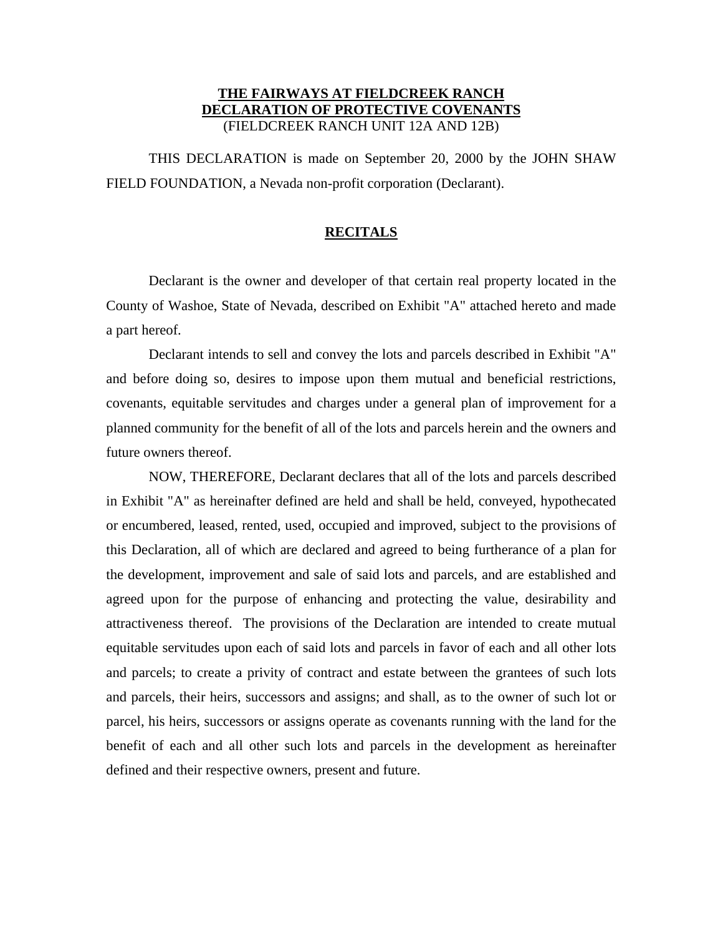## **THE FAIRWAYS AT FIELDCREEK RANCH DECLARATION OF PROTECTIVE COVENANTS** (FIELDCREEK RANCH UNIT 12A AND 12B)

THIS DECLARATION is made on September 20, 2000 by the JOHN SHAW FIELD FOUNDATION, a Nevada non-profit corporation (Declarant).

### **RECITALS**

Declarant is the owner and developer of that certain real property located in the County of Washoe, State of Nevada, described on Exhibit "A" attached hereto and made a part hereof.

Declarant intends to sell and convey the lots and parcels described in Exhibit "A" and before doing so, desires to impose upon them mutual and beneficial restrictions, covenants, equitable servitudes and charges under a general plan of improvement for a planned community for the benefit of all of the lots and parcels herein and the owners and future owners thereof.

NOW, THEREFORE, Declarant declares that all of the lots and parcels described in Exhibit "A" as hereinafter defined are held and shall be held, conveyed, hypothecated or encumbered, leased, rented, used, occupied and improved, subject to the provisions of this Declaration, all of which are declared and agreed to being furtherance of a plan for the development, improvement and sale of said lots and parcels, and are established and agreed upon for the purpose of enhancing and protecting the value, desirability and attractiveness thereof. The provisions of the Declaration are intended to create mutual equitable servitudes upon each of said lots and parcels in favor of each and all other lots and parcels; to create a privity of contract and estate between the grantees of such lots and parcels, their heirs, successors and assigns; and shall, as to the owner of such lot or parcel, his heirs, successors or assigns operate as covenants running with the land for the benefit of each and all other such lots and parcels in the development as hereinafter defined and their respective owners, present and future.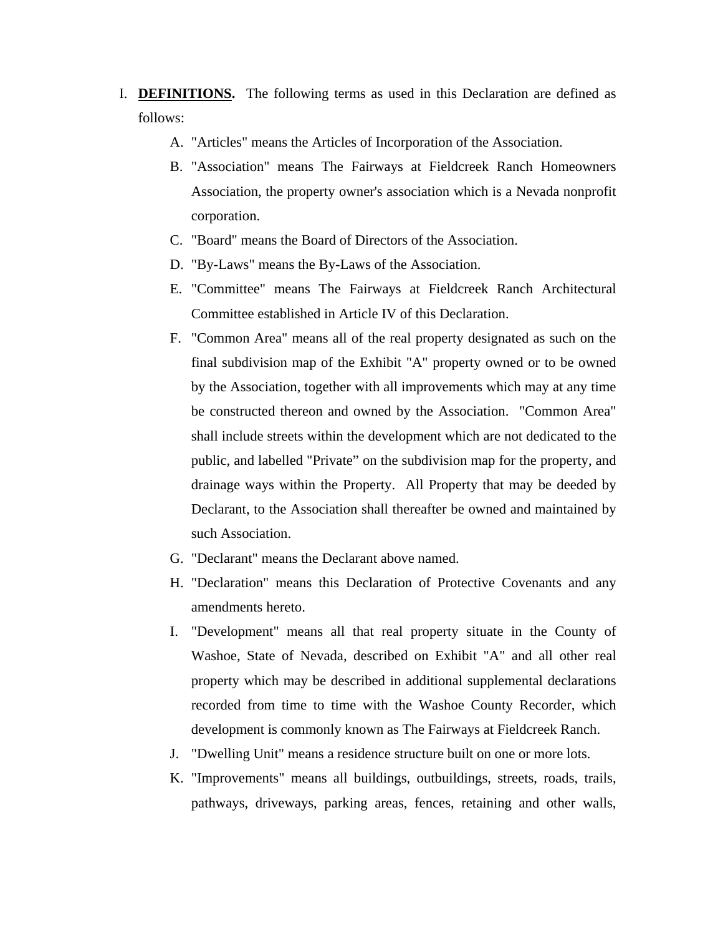- I. **DEFINITIONS.** The following terms as used in this Declaration are defined as follows:
	- A. "Articles" means the Articles of Incorporation of the Association.
	- B. "Association" means The Fairways at Fieldcreek Ranch Homeowners Association, the property owner's association which is a Nevada nonprofit corporation.
	- C. "Board" means the Board of Directors of the Association.
	- D. "By-Laws" means the By-Laws of the Association.
	- E. "Committee" means The Fairways at Fieldcreek Ranch Architectural Committee established in Article IV of this Declaration.
	- F. "Common Area" means all of the real property designated as such on the final subdivision map of the Exhibit "A" property owned or to be owned by the Association, together with all improvements which may at any time be constructed thereon and owned by the Association. "Common Area" shall include streets within the development which are not dedicated to the public, and labelled "Private" on the subdivision map for the property, and drainage ways within the Property. All Property that may be deeded by Declarant, to the Association shall thereafter be owned and maintained by such Association.
	- G. "Declarant" means the Declarant above named.
	- H. "Declaration" means this Declaration of Protective Covenants and any amendments hereto.
	- I. "Development" means all that real property situate in the County of Washoe, State of Nevada, described on Exhibit "A" and all other real property which may be described in additional supplemental declarations recorded from time to time with the Washoe County Recorder, which development is commonly known as The Fairways at Fieldcreek Ranch.
	- J. "Dwelling Unit" means a residence structure built on one or more lots.
	- K. "Improvements" means all buildings, outbuildings, streets, roads, trails, pathways, driveways, parking areas, fences, retaining and other walls,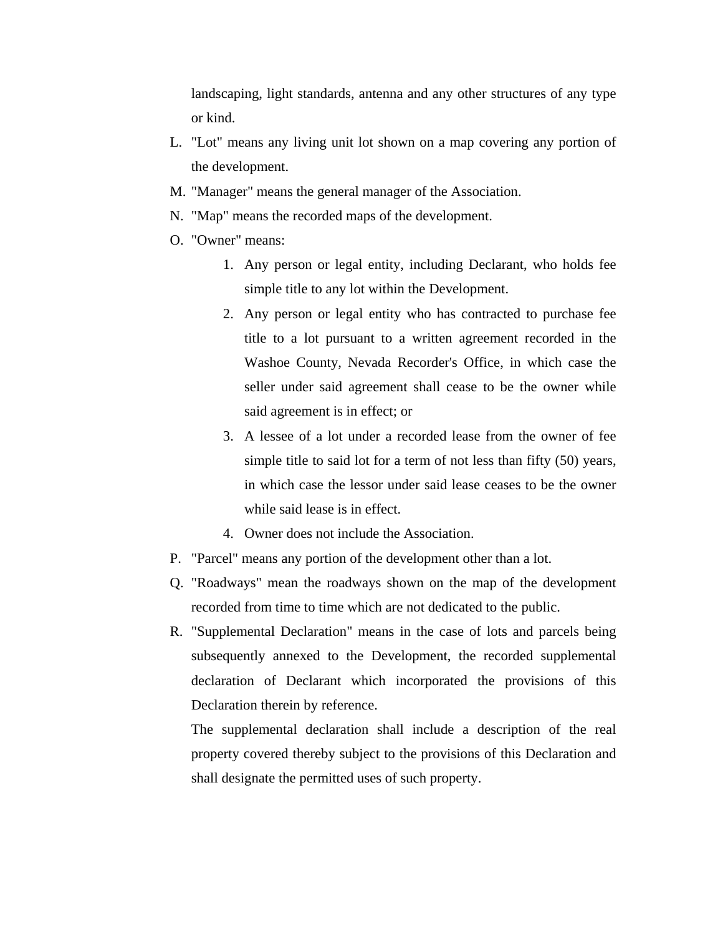landscaping, light standards, antenna and any other structures of any type or kind.

- L. "Lot" means any living unit lot shown on a map covering any portion of the development.
- M. "Manager" means the general manager of the Association.
- N. "Map" means the recorded maps of the development.
- O. "Owner" means:
	- 1. Any person or legal entity, including Declarant, who holds fee simple title to any lot within the Development.
	- 2. Any person or legal entity who has contracted to purchase fee title to a lot pursuant to a written agreement recorded in the Washoe County, Nevada Recorder's Office, in which case the seller under said agreement shall cease to be the owner while said agreement is in effect; or
	- 3. A lessee of a lot under a recorded lease from the owner of fee simple title to said lot for a term of not less than fifty (50) years, in which case the lessor under said lease ceases to be the owner while said lease is in effect.
	- 4. Owner does not include the Association.
- P. "Parcel" means any portion of the development other than a lot.
- Q. "Roadways" mean the roadways shown on the map of the development recorded from time to time which are not dedicated to the public.
- R. "Supplemental Declaration" means in the case of lots and parcels being subsequently annexed to the Development, the recorded supplemental declaration of Declarant which incorporated the provisions of this Declaration therein by reference.

The supplemental declaration shall include a description of the real property covered thereby subject to the provisions of this Declaration and shall designate the permitted uses of such property.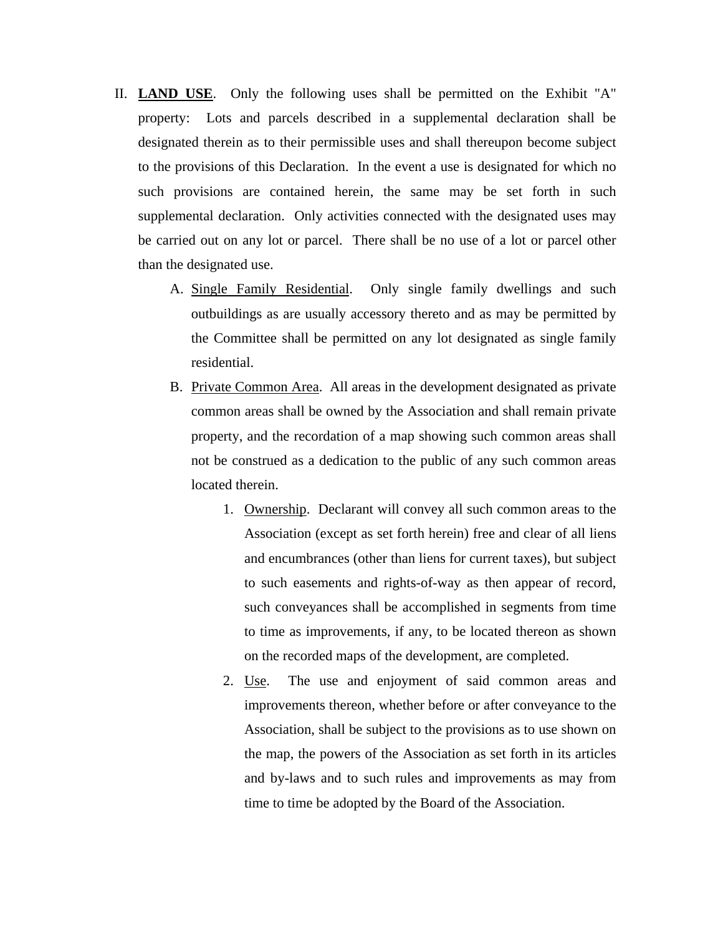- II. **LAND USE**. Only the following uses shall be permitted on the Exhibit "A" property: Lots and parcels described in a supplemental declaration shall be designated therein as to their permissible uses and shall thereupon become subject to the provisions of this Declaration. In the event a use is designated for which no such provisions are contained herein, the same may be set forth in such supplemental declaration. Only activities connected with the designated uses may be carried out on any lot or parcel. There shall be no use of a lot or parcel other than the designated use.
	- A. Single Family Residential. Only single family dwellings and such outbuildings as are usually accessory thereto and as may be permitted by the Committee shall be permitted on any lot designated as single family residential.
	- B. Private Common Area. All areas in the development designated as private common areas shall be owned by the Association and shall remain private property, and the recordation of a map showing such common areas shall not be construed as a dedication to the public of any such common areas located therein.
		- 1. Ownership. Declarant will convey all such common areas to the Association (except as set forth herein) free and clear of all liens and encumbrances (other than liens for current taxes), but subject to such easements and rights-of-way as then appear of record, such conveyances shall be accomplished in segments from time to time as improvements, if any, to be located thereon as shown on the recorded maps of the development, are completed.
		- 2. Use. The use and enjoyment of said common areas and improvements thereon, whether before or after conveyance to the Association, shall be subject to the provisions as to use shown on the map, the powers of the Association as set forth in its articles and by-laws and to such rules and improvements as may from time to time be adopted by the Board of the Association.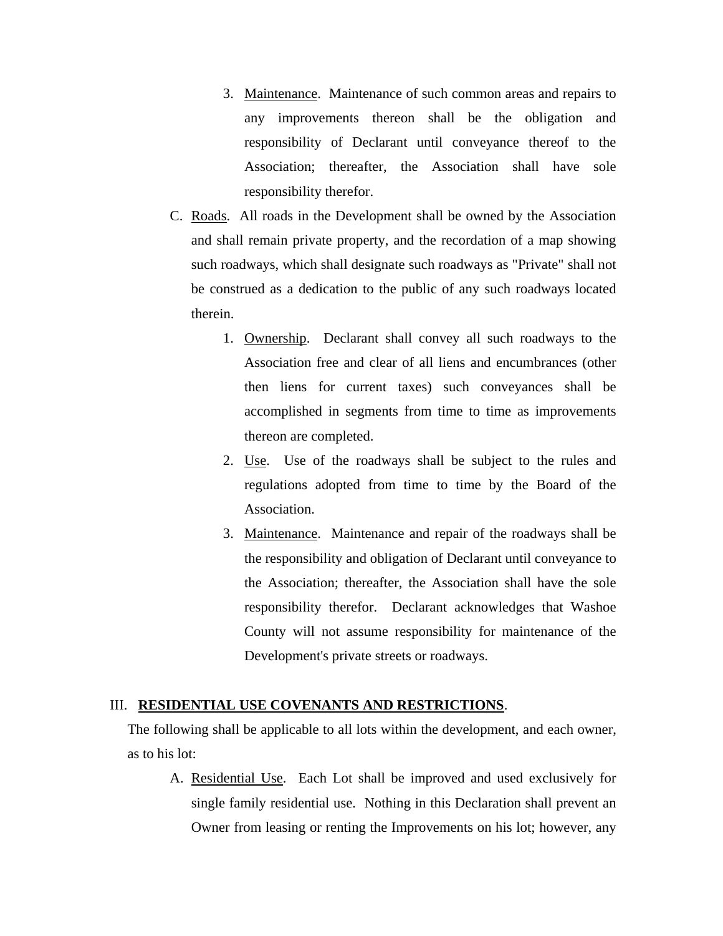- 3. Maintenance. Maintenance of such common areas and repairs to any improvements thereon shall be the obligation and responsibility of Declarant until conveyance thereof to the Association; thereafter, the Association shall have sole responsibility therefor.
- C. Roads. All roads in the Development shall be owned by the Association and shall remain private property, and the recordation of a map showing such roadways, which shall designate such roadways as "Private" shall not be construed as a dedication to the public of any such roadways located therein.
	- 1. Ownership. Declarant shall convey all such roadways to the Association free and clear of all liens and encumbrances (other then liens for current taxes) such conveyances shall be accomplished in segments from time to time as improvements thereon are completed.
	- 2. Use. Use of the roadways shall be subject to the rules and regulations adopted from time to time by the Board of the Association.
	- 3. Maintenance. Maintenance and repair of the roadways shall be the responsibility and obligation of Declarant until conveyance to the Association; thereafter, the Association shall have the sole responsibility therefor. Declarant acknowledges that Washoe County will not assume responsibility for maintenance of the Development's private streets or roadways.

## III. **RESIDENTIAL USE COVENANTS AND RESTRICTIONS**.

The following shall be applicable to all lots within the development, and each owner, as to his lot:

A. Residential Use. Each Lot shall be improved and used exclusively for single family residential use. Nothing in this Declaration shall prevent an Owner from leasing or renting the Improvements on his lot; however, any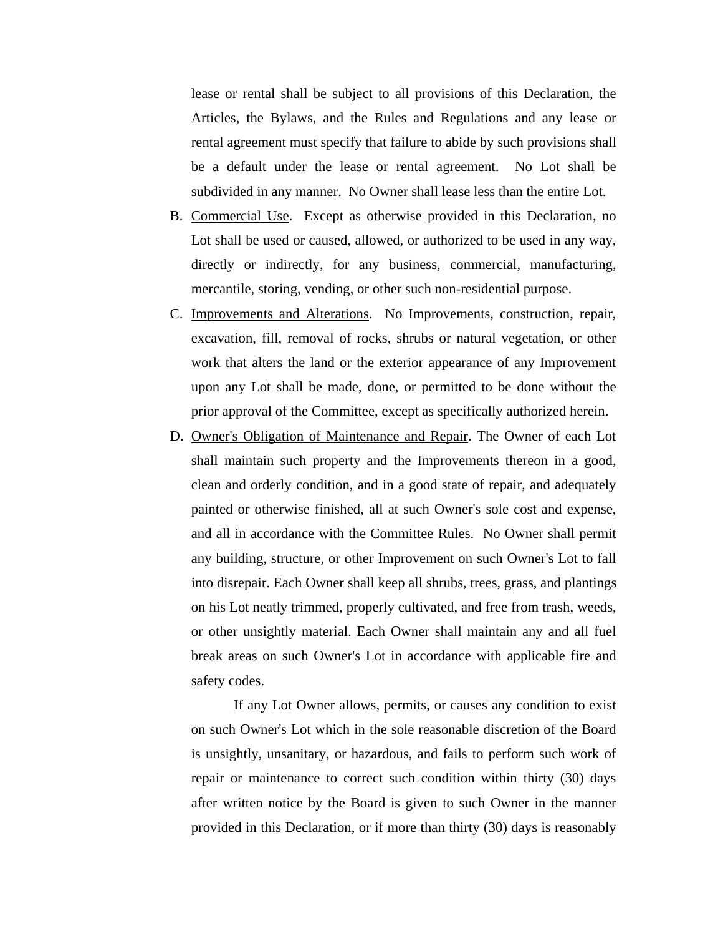lease or rental shall be subject to all provisions of this Declaration, the Articles, the Bylaws, and the Rules and Regulations and any lease or rental agreement must specify that failure to abide by such provisions shall be a default under the lease or rental agreement. No Lot shall be subdivided in any manner. No Owner shall lease less than the entire Lot.

- B. Commercial Use. Except as otherwise provided in this Declaration, no Lot shall be used or caused, allowed, or authorized to be used in any way, directly or indirectly, for any business, commercial, manufacturing, mercantile, storing, vending, or other such non-residential purpose.
- C. Improvements and Alterations. No Improvements, construction, repair, excavation, fill, removal of rocks, shrubs or natural vegetation, or other work that alters the land or the exterior appearance of any Improvement upon any Lot shall be made, done, or permitted to be done without the prior approval of the Committee, except as specifically authorized herein.
- D. Owner's Obligation of Maintenance and Repair. The Owner of each Lot shall maintain such property and the Improvements thereon in a good, clean and orderly condition, and in a good state of repair, and adequately painted or otherwise finished, all at such Owner's sole cost and expense, and all in accordance with the Committee Rules. No Owner shall permit any building, structure, or other Improvement on such Owner's Lot to fall into disrepair. Each Owner shall keep all shrubs, trees, grass, and plantings on his Lot neatly trimmed, properly cultivated, and free from trash, weeds, or other unsightly material. Each Owner shall maintain any and all fuel break areas on such Owner's Lot in accordance with applicable fire and safety codes.

If any Lot Owner allows, permits, or causes any condition to exist on such Owner's Lot which in the sole reasonable discretion of the Board is unsightly, unsanitary, or hazardous, and fails to perform such work of repair or maintenance to correct such condition within thirty (30) days after written notice by the Board is given to such Owner in the manner provided in this Declaration, or if more than thirty (30) days is reasonably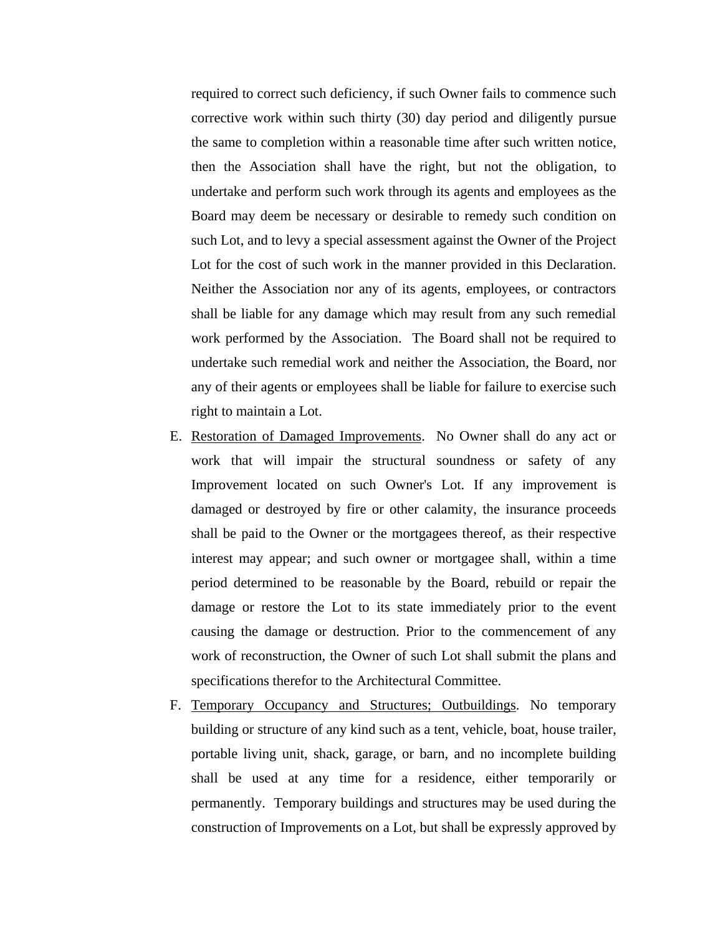required to correct such deficiency, if such Owner fails to commence such corrective work within such thirty (30) day period and diligently pursue the same to completion within a reasonable time after such written notice, then the Association shall have the right, but not the obligation, to undertake and perform such work through its agents and employees as the Board may deem be necessary or desirable to remedy such condition on such Lot, and to levy a special assessment against the Owner of the Project Lot for the cost of such work in the manner provided in this Declaration. Neither the Association nor any of its agents, employees, or contractors shall be liable for any damage which may result from any such remedial work performed by the Association. The Board shall not be required to undertake such remedial work and neither the Association, the Board, nor any of their agents or employees shall be liable for failure to exercise such right to maintain a Lot.

- E. Restoration of Damaged Improvements. No Owner shall do any act or work that will impair the structural soundness or safety of any Improvement located on such Owner's Lot. If any improvement is damaged or destroyed by fire or other calamity, the insurance proceeds shall be paid to the Owner or the mortgagees thereof, as their respective interest may appear; and such owner or mortgagee shall, within a time period determined to be reasonable by the Board, rebuild or repair the damage or restore the Lot to its state immediately prior to the event causing the damage or destruction. Prior to the commencement of any work of reconstruction, the Owner of such Lot shall submit the plans and specifications therefor to the Architectural Committee.
- F. Temporary Occupancy and Structures; Outbuildings. No temporary building or structure of any kind such as a tent, vehicle, boat, house trailer, portable living unit, shack, garage, or barn, and no incomplete building shall be used at any time for a residence, either temporarily or permanently. Temporary buildings and structures may be used during the construction of Improvements on a Lot, but shall be expressly approved by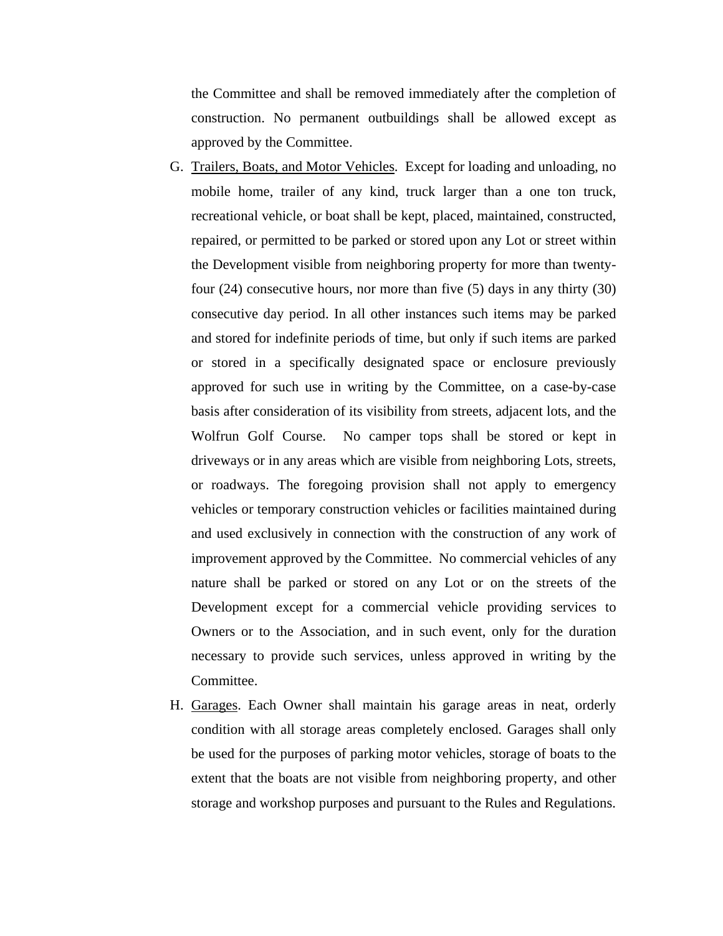the Committee and shall be removed immediately after the completion of construction. No permanent outbuildings shall be allowed except as approved by the Committee.

- G. Trailers, Boats, and Motor Vehicles. Except for loading and unloading, no mobile home, trailer of any kind, truck larger than a one ton truck, recreational vehicle, or boat shall be kept, placed, maintained, constructed, repaired, or permitted to be parked or stored upon any Lot or street within the Development visible from neighboring property for more than twentyfour (24) consecutive hours, nor more than five (5) days in any thirty (30) consecutive day period. In all other instances such items may be parked and stored for indefinite periods of time, but only if such items are parked or stored in a specifically designated space or enclosure previously approved for such use in writing by the Committee, on a case-by-case basis after consideration of its visibility from streets, adjacent lots, and the Wolfrun Golf Course. No camper tops shall be stored or kept in driveways or in any areas which are visible from neighboring Lots, streets, or roadways. The foregoing provision shall not apply to emergency vehicles or temporary construction vehicles or facilities maintained during and used exclusively in connection with the construction of any work of improvement approved by the Committee. No commercial vehicles of any nature shall be parked or stored on any Lot or on the streets of the Development except for a commercial vehicle providing services to Owners or to the Association, and in such event, only for the duration necessary to provide such services, unless approved in writing by the Committee.
- H. Garages. Each Owner shall maintain his garage areas in neat, orderly condition with all storage areas completely enclosed. Garages shall only be used for the purposes of parking motor vehicles, storage of boats to the extent that the boats are not visible from neighboring property, and other storage and workshop purposes and pursuant to the Rules and Regulations.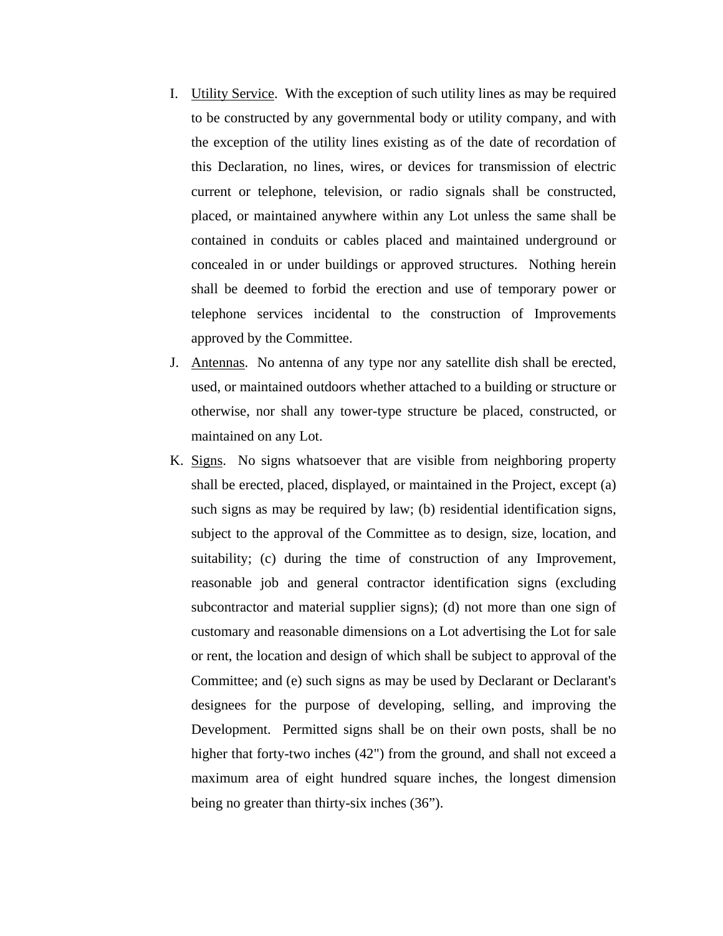- I. Utility Service. With the exception of such utility lines as may be required to be constructed by any governmental body or utility company, and with the exception of the utility lines existing as of the date of recordation of this Declaration, no lines, wires, or devices for transmission of electric current or telephone, television, or radio signals shall be constructed, placed, or maintained anywhere within any Lot unless the same shall be contained in conduits or cables placed and maintained underground or concealed in or under buildings or approved structures. Nothing herein shall be deemed to forbid the erection and use of temporary power or telephone services incidental to the construction of Improvements approved by the Committee.
- J. Antennas. No antenna of any type nor any satellite dish shall be erected, used, or maintained outdoors whether attached to a building or structure or otherwise, nor shall any tower-type structure be placed, constructed, or maintained on any Lot.
- K. Signs. No signs whatsoever that are visible from neighboring property shall be erected, placed, displayed, or maintained in the Project, except (a) such signs as may be required by law; (b) residential identification signs, subject to the approval of the Committee as to design, size, location, and suitability; (c) during the time of construction of any Improvement, reasonable job and general contractor identification signs (excluding subcontractor and material supplier signs); (d) not more than one sign of customary and reasonable dimensions on a Lot advertising the Lot for sale or rent, the location and design of which shall be subject to approval of the Committee; and (e) such signs as may be used by Declarant or Declarant's designees for the purpose of developing, selling, and improving the Development. Permitted signs shall be on their own posts, shall be no higher that forty-two inches (42") from the ground, and shall not exceed a maximum area of eight hundred square inches, the longest dimension being no greater than thirty-six inches (36").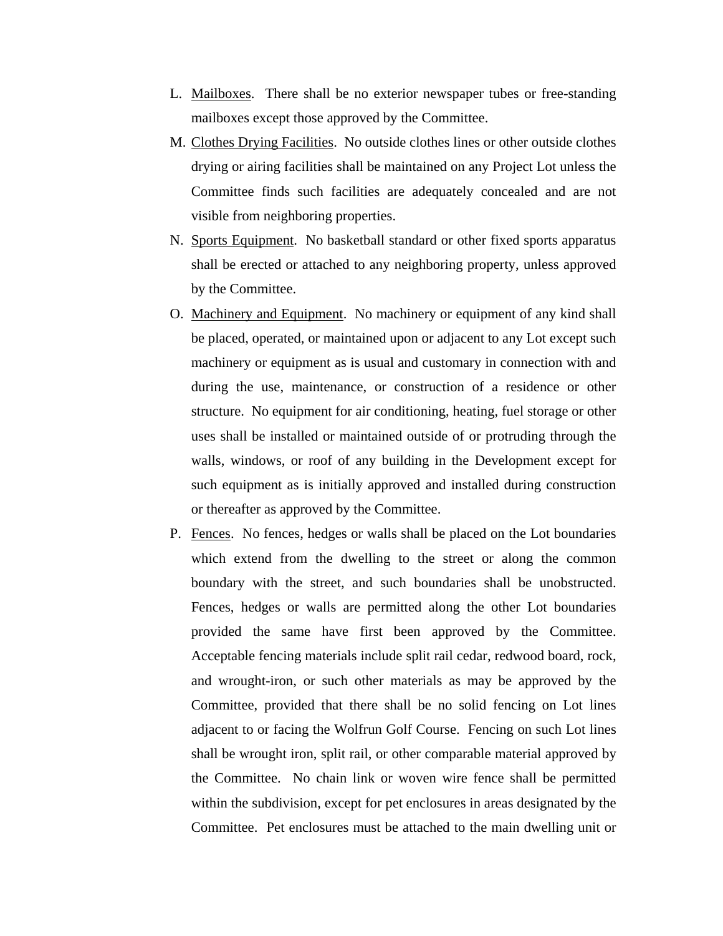- L. Mailboxes. There shall be no exterior newspaper tubes or free-standing mailboxes except those approved by the Committee.
- M. Clothes Drying Facilities. No outside clothes lines or other outside clothes drying or airing facilities shall be maintained on any Project Lot unless the Committee finds such facilities are adequately concealed and are not visible from neighboring properties.
- N. Sports Equipment. No basketball standard or other fixed sports apparatus shall be erected or attached to any neighboring property, unless approved by the Committee.
- O. Machinery and Equipment. No machinery or equipment of any kind shall be placed, operated, or maintained upon or adjacent to any Lot except such machinery or equipment as is usual and customary in connection with and during the use, maintenance, or construction of a residence or other structure. No equipment for air conditioning, heating, fuel storage or other uses shall be installed or maintained outside of or protruding through the walls, windows, or roof of any building in the Development except for such equipment as is initially approved and installed during construction or thereafter as approved by the Committee.
- P. Fences. No fences, hedges or walls shall be placed on the Lot boundaries which extend from the dwelling to the street or along the common boundary with the street, and such boundaries shall be unobstructed. Fences, hedges or walls are permitted along the other Lot boundaries provided the same have first been approved by the Committee. Acceptable fencing materials include split rail cedar, redwood board, rock, and wrought-iron, or such other materials as may be approved by the Committee, provided that there shall be no solid fencing on Lot lines adjacent to or facing the Wolfrun Golf Course. Fencing on such Lot lines shall be wrought iron, split rail, or other comparable material approved by the Committee. No chain link or woven wire fence shall be permitted within the subdivision, except for pet enclosures in areas designated by the Committee. Pet enclosures must be attached to the main dwelling unit or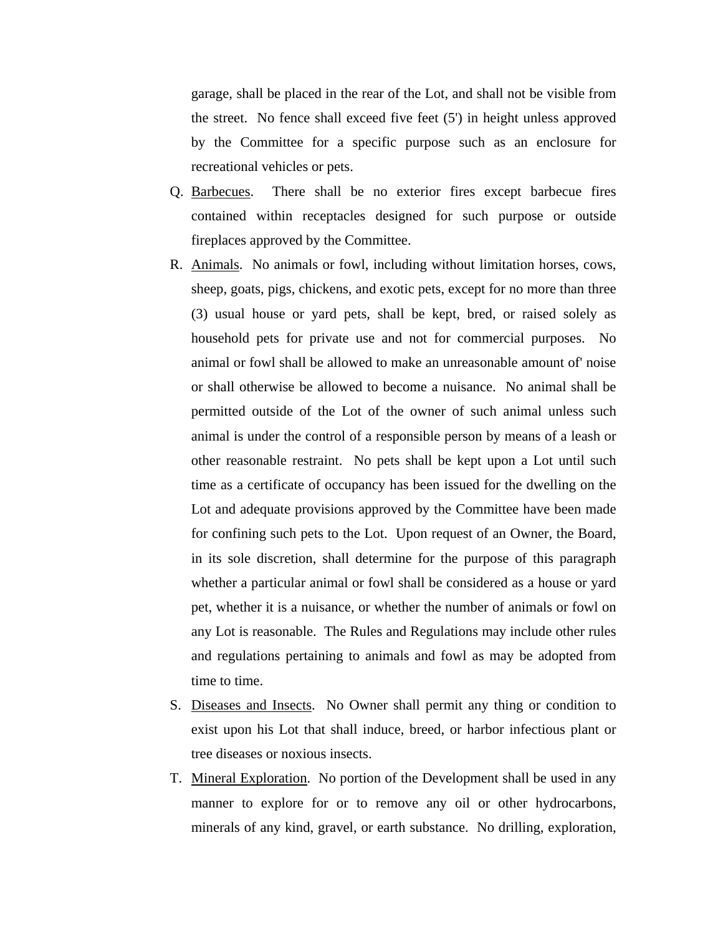garage, shall be placed in the rear of the Lot, and shall not be visible from the street. No fence shall exceed five feet (5') in height unless approved by the Committee for a specific purpose such as an enclosure for recreational vehicles or pets.

- Q. Barbecues. There shall be no exterior fires except barbecue fires contained within receptacles designed for such purpose or outside fireplaces approved by the Committee.
- R. Animals. No animals or fowl, including without limitation horses, cows, sheep, goats, pigs, chickens, and exotic pets, except for no more than three (3) usual house or yard pets, shall be kept, bred, or raised solely as household pets for private use and not for commercial purposes. No animal or fowl shall be allowed to make an unreasonable amount of' noise or shall otherwise be allowed to become a nuisance. No animal shall be permitted outside of the Lot of the owner of such animal unless such animal is under the control of a responsible person by means of a leash or other reasonable restraint. No pets shall be kept upon a Lot until such time as a certificate of occupancy has been issued for the dwelling on the Lot and adequate provisions approved by the Committee have been made for confining such pets to the Lot. Upon request of an Owner, the Board, in its sole discretion, shall determine for the purpose of this paragraph whether a particular animal or fowl shall be considered as a house or yard pet, whether it is a nuisance, or whether the number of animals or fowl on any Lot is reasonable. The Rules and Regulations may include other rules and regulations pertaining to animals and fowl as may be adopted from time to time.
- S. Diseases and Insects. No Owner shall permit any thing or condition to exist upon his Lot that shall induce, breed, or harbor infectious plant or tree diseases or noxious insects.
- T. Mineral Exploration. No portion of the Development shall be used in any manner to explore for or to remove any oil or other hydrocarbons, minerals of any kind, gravel, or earth substance. No drilling, exploration,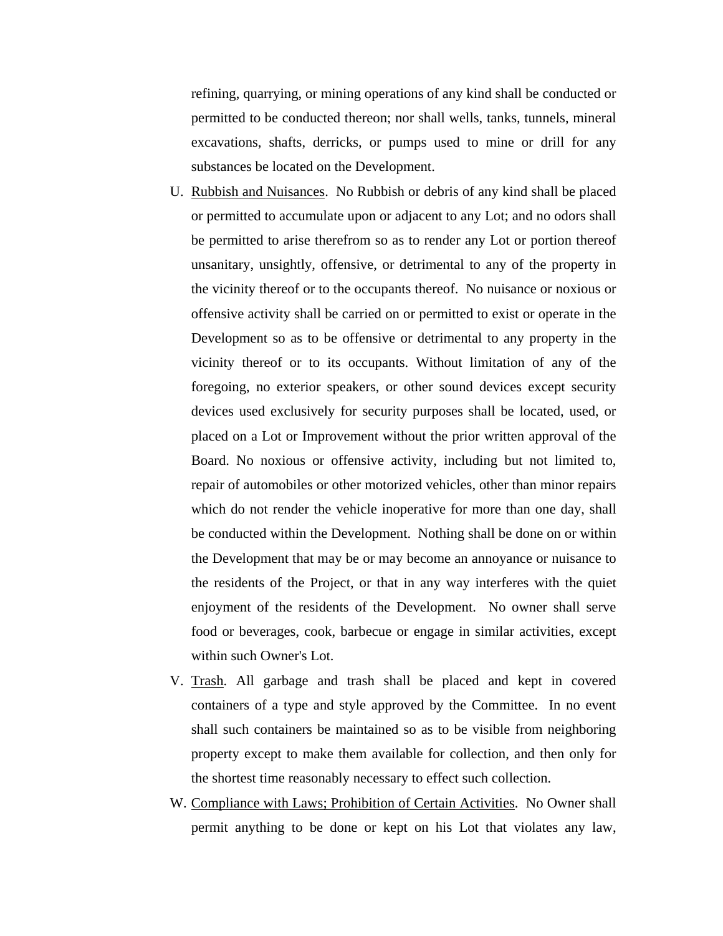refining, quarrying, or mining operations of any kind shall be conducted or permitted to be conducted thereon; nor shall wells, tanks, tunnels, mineral excavations, shafts, derricks, or pumps used to mine or drill for any substances be located on the Development.

- U. Rubbish and Nuisances. No Rubbish or debris of any kind shall be placed or permitted to accumulate upon or adjacent to any Lot; and no odors shall be permitted to arise therefrom so as to render any Lot or portion thereof unsanitary, unsightly, offensive, or detrimental to any of the property in the vicinity thereof or to the occupants thereof. No nuisance or noxious or offensive activity shall be carried on or permitted to exist or operate in the Development so as to be offensive or detrimental to any property in the vicinity thereof or to its occupants. Without limitation of any of the foregoing, no exterior speakers, or other sound devices except security devices used exclusively for security purposes shall be located, used, or placed on a Lot or Improvement without the prior written approval of the Board. No noxious or offensive activity, including but not limited to, repair of automobiles or other motorized vehicles, other than minor repairs which do not render the vehicle inoperative for more than one day, shall be conducted within the Development. Nothing shall be done on or within the Development that may be or may become an annoyance or nuisance to the residents of the Project, or that in any way interferes with the quiet enjoyment of the residents of the Development. No owner shall serve food or beverages, cook, barbecue or engage in similar activities, except within such Owner's Lot.
- V. Trash. All garbage and trash shall be placed and kept in covered containers of a type and style approved by the Committee. In no event shall such containers be maintained so as to be visible from neighboring property except to make them available for collection, and then only for the shortest time reasonably necessary to effect such collection.
- W. Compliance with Laws; Prohibition of Certain Activities. No Owner shall permit anything to be done or kept on his Lot that violates any law,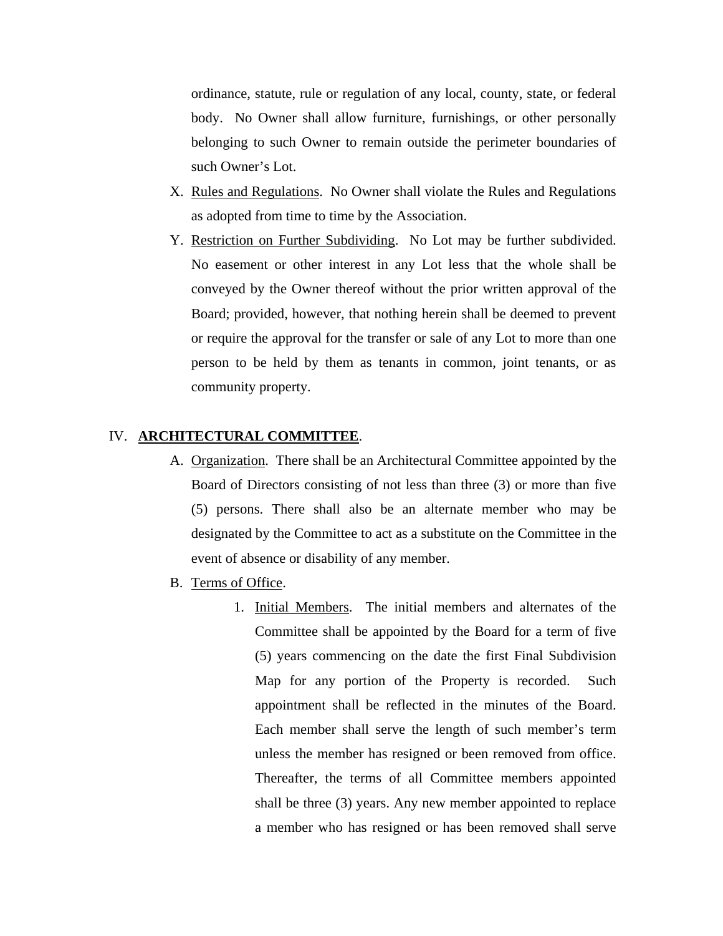ordinance, statute, rule or regulation of any local, county, state, or federal body. No Owner shall allow furniture, furnishings, or other personally belonging to such Owner to remain outside the perimeter boundaries of such Owner's Lot.

- X. Rules and Regulations. No Owner shall violate the Rules and Regulations as adopted from time to time by the Association.
- Y. Restriction on Further Subdividing. No Lot may be further subdivided. No easement or other interest in any Lot less that the whole shall be conveyed by the Owner thereof without the prior written approval of the Board; provided, however, that nothing herein shall be deemed to prevent or require the approval for the transfer or sale of any Lot to more than one person to be held by them as tenants in common, joint tenants, or as community property.

## IV. **ARCHITECTURAL COMMITTEE**.

- A. Organization. There shall be an Architectural Committee appointed by the Board of Directors consisting of not less than three (3) or more than five (5) persons. There shall also be an alternate member who may be designated by the Committee to act as a substitute on the Committee in the event of absence or disability of any member.
- B. Terms of Office.
	- 1. Initial Members. The initial members and alternates of the Committee shall be appointed by the Board for a term of five (5) years commencing on the date the first Final Subdivision Map for any portion of the Property is recorded. Such appointment shall be reflected in the minutes of the Board. Each member shall serve the length of such member's term unless the member has resigned or been removed from office. Thereafter, the terms of all Committee members appointed shall be three (3) years. Any new member appointed to replace a member who has resigned or has been removed shall serve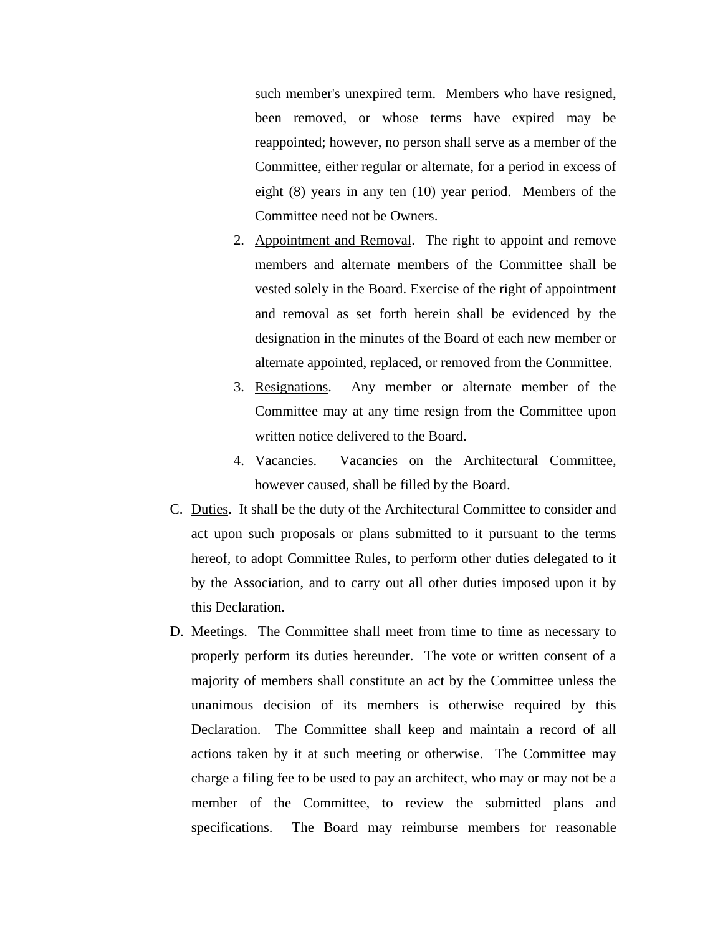such member's unexpired term. Members who have resigned, been removed, or whose terms have expired may be reappointed; however, no person shall serve as a member of the Committee, either regular or alternate, for a period in excess of eight (8) years in any ten (10) year period. Members of the Committee need not be Owners.

- 2. Appointment and Removal. The right to appoint and remove members and alternate members of the Committee shall be vested solely in the Board. Exercise of the right of appointment and removal as set forth herein shall be evidenced by the designation in the minutes of the Board of each new member or alternate appointed, replaced, or removed from the Committee.
- 3. Resignations. Any member or alternate member of the Committee may at any time resign from the Committee upon written notice delivered to the Board.
- 4. Vacancies. Vacancies on the Architectural Committee, however caused, shall be filled by the Board.
- C. Duties. It shall be the duty of the Architectural Committee to consider and act upon such proposals or plans submitted to it pursuant to the terms hereof, to adopt Committee Rules, to perform other duties delegated to it by the Association, and to carry out all other duties imposed upon it by this Declaration.
- D. Meetings. The Committee shall meet from time to time as necessary to properly perform its duties hereunder. The vote or written consent of a majority of members shall constitute an act by the Committee unless the unanimous decision of its members is otherwise required by this Declaration. The Committee shall keep and maintain a record of all actions taken by it at such meeting or otherwise. The Committee may charge a filing fee to be used to pay an architect, who may or may not be a member of the Committee, to review the submitted plans and specifications. The Board may reimburse members for reasonable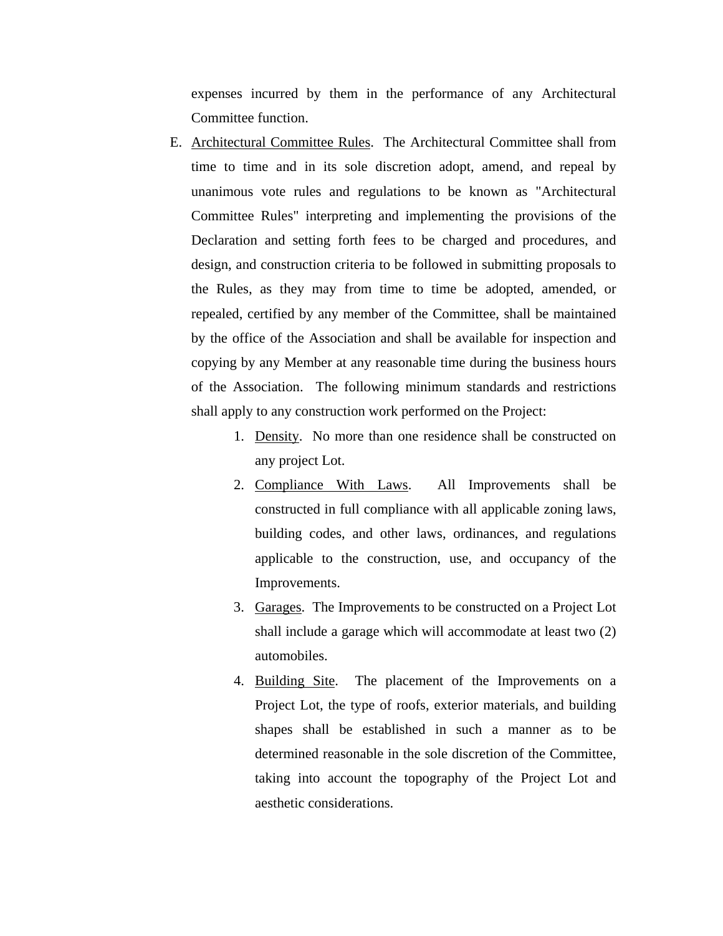expenses incurred by them in the performance of any Architectural Committee function.

- E. Architectural Committee Rules. The Architectural Committee shall from time to time and in its sole discretion adopt, amend, and repeal by unanimous vote rules and regulations to be known as "Architectural Committee Rules" interpreting and implementing the provisions of the Declaration and setting forth fees to be charged and procedures, and design, and construction criteria to be followed in submitting proposals to the Rules, as they may from time to time be adopted, amended, or repealed, certified by any member of the Committee, shall be maintained by the office of the Association and shall be available for inspection and copying by any Member at any reasonable time during the business hours of the Association. The following minimum standards and restrictions shall apply to any construction work performed on the Project:
	- 1. Density. No more than one residence shall be constructed on any project Lot.
	- 2. Compliance With Laws. All Improvements shall be constructed in full compliance with all applicable zoning laws, building codes, and other laws, ordinances, and regulations applicable to the construction, use, and occupancy of the Improvements.
	- 3. Garages. The Improvements to be constructed on a Project Lot shall include a garage which will accommodate at least two (2) automobiles.
	- 4. Building Site. The placement of the Improvements on a Project Lot, the type of roofs, exterior materials, and building shapes shall be established in such a manner as to be determined reasonable in the sole discretion of the Committee, taking into account the topography of the Project Lot and aesthetic considerations.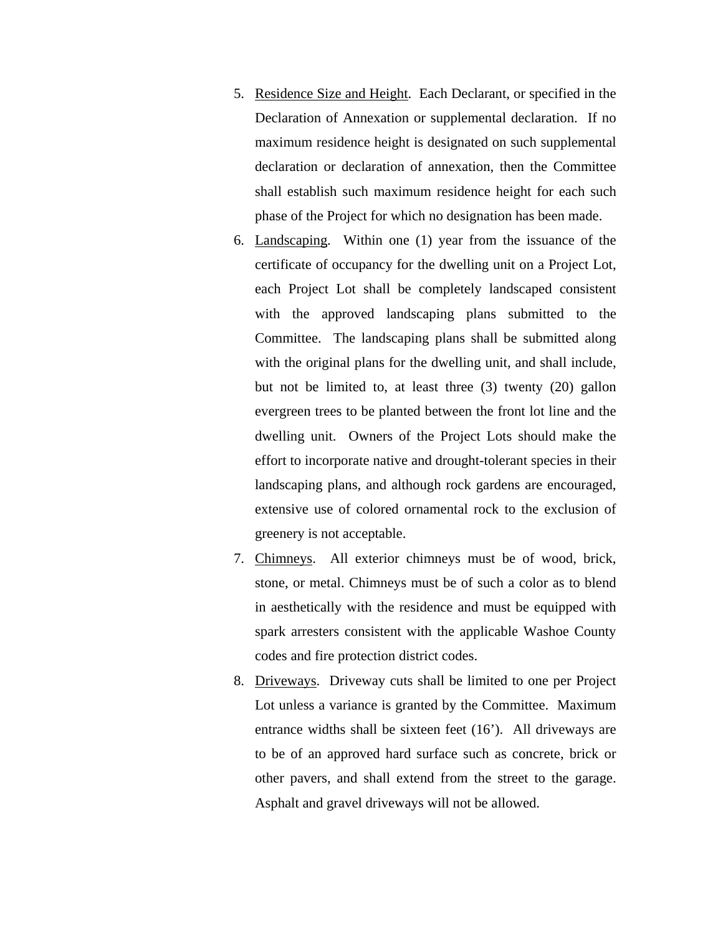- 5. Residence Size and Height. Each Declarant, or specified in the Declaration of Annexation or supplemental declaration. If no maximum residence height is designated on such supplemental declaration or declaration of annexation, then the Committee shall establish such maximum residence height for each such phase of the Project for which no designation has been made.
- 6. Landscaping. Within one (1) year from the issuance of the certificate of occupancy for the dwelling unit on a Project Lot, each Project Lot shall be completely landscaped consistent with the approved landscaping plans submitted to the Committee. The landscaping plans shall be submitted along with the original plans for the dwelling unit, and shall include, but not be limited to, at least three (3) twenty (20) gallon evergreen trees to be planted between the front lot line and the dwelling unit. Owners of the Project Lots should make the effort to incorporate native and drought-tolerant species in their landscaping plans, and although rock gardens are encouraged, extensive use of colored ornamental rock to the exclusion of greenery is not acceptable.
- 7. Chimneys. All exterior chimneys must be of wood, brick, stone, or metal. Chimneys must be of such a color as to blend in aesthetically with the residence and must be equipped with spark arresters consistent with the applicable Washoe County codes and fire protection district codes.
- 8. Driveways. Driveway cuts shall be limited to one per Project Lot unless a variance is granted by the Committee. Maximum entrance widths shall be sixteen feet (16'). All driveways are to be of an approved hard surface such as concrete, brick or other pavers, and shall extend from the street to the garage. Asphalt and gravel driveways will not be allowed.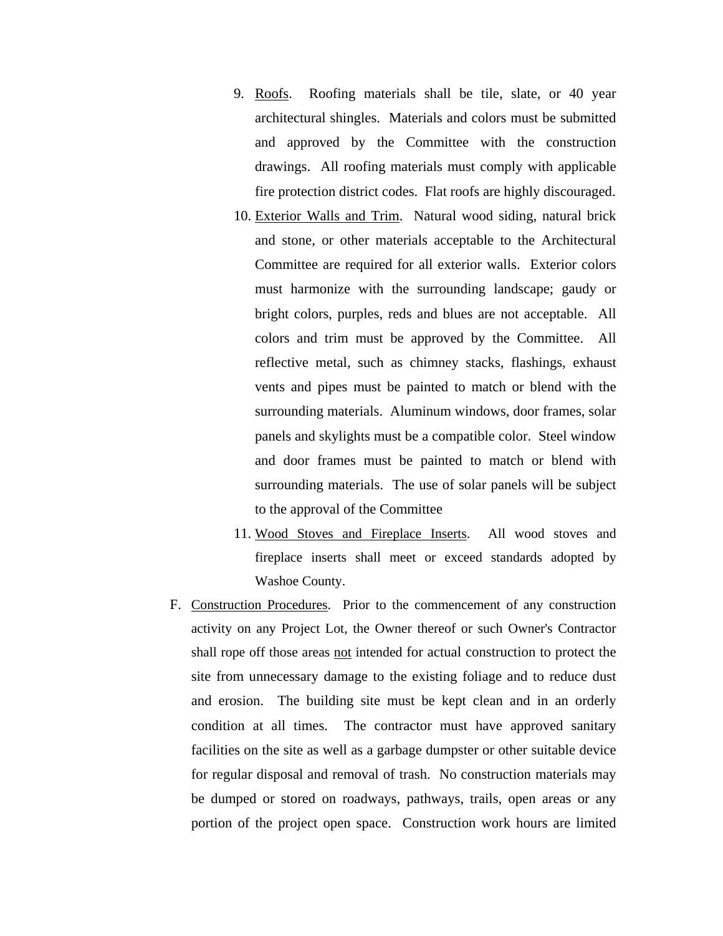- 9. Roofs. Roofing materials shall be tile, slate, or 40 year architectural shingles. Materials and colors must be submitted and approved by the Committee with the construction drawings. All roofing materials must comply with applicable fire protection district codes. Flat roofs are highly discouraged.
- 10. Exterior Walls and Trim. Natural wood siding, natural brick and stone, or other materials acceptable to the Architectural Committee are required for all exterior walls. Exterior colors must harmonize with the surrounding landscape; gaudy or bright colors, purples, reds and blues are not acceptable. All colors and trim must be approved by the Committee. All reflective metal, such as chimney stacks, flashings, exhaust vents and pipes must be painted to match or blend with the surrounding materials. Aluminum windows, door frames, solar panels and skylights must be a compatible color. Steel window and door frames must be painted to match or blend with surrounding materials. The use of solar panels will be subject to the approval of the Committee
- 11. Wood Stoves and Fireplace Inserts. All wood stoves and fireplace inserts shall meet or exceed standards adopted by Washoe County.
- F. Construction Procedures. Prior to the commencement of any construction activity on any Project Lot, the Owner thereof or such Owner's Contractor shall rope off those areas not intended for actual construction to protect the site from unnecessary damage to the existing foliage and to reduce dust and erosion. The building site must be kept clean and in an orderly condition at all times. The contractor must have approved sanitary facilities on the site as well as a garbage dumpster or other suitable device for regular disposal and removal of trash. No construction materials may be dumped or stored on roadways, pathways, trails, open areas or any portion of the project open space. Construction work hours are limited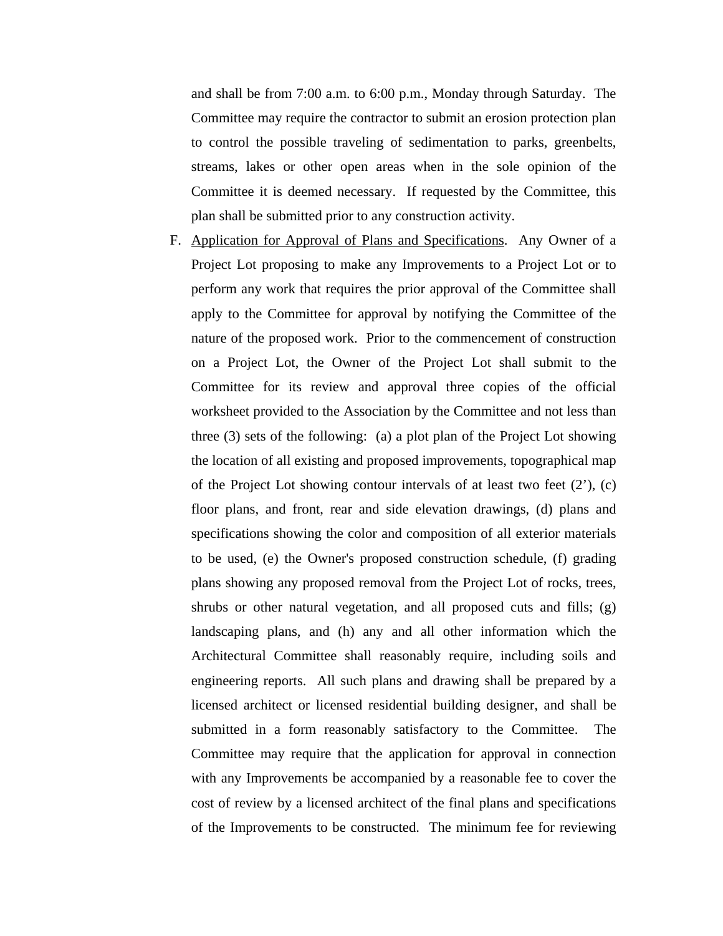and shall be from 7:00 a.m. to 6:00 p.m., Monday through Saturday. The Committee may require the contractor to submit an erosion protection plan to control the possible traveling of sedimentation to parks, greenbelts, streams, lakes or other open areas when in the sole opinion of the Committee it is deemed necessary. If requested by the Committee, this plan shall be submitted prior to any construction activity.

F. Application for Approval of Plans and Specifications. Any Owner of a Project Lot proposing to make any Improvements to a Project Lot or to perform any work that requires the prior approval of the Committee shall apply to the Committee for approval by notifying the Committee of the nature of the proposed work. Prior to the commencement of construction on a Project Lot, the Owner of the Project Lot shall submit to the Committee for its review and approval three copies of the official worksheet provided to the Association by the Committee and not less than three (3) sets of the following: (a) a plot plan of the Project Lot showing the location of all existing and proposed improvements, topographical map of the Project Lot showing contour intervals of at least two feet (2'), (c) floor plans, and front, rear and side elevation drawings, (d) plans and specifications showing the color and composition of all exterior materials to be used, (e) the Owner's proposed construction schedule, (f) grading plans showing any proposed removal from the Project Lot of rocks, trees, shrubs or other natural vegetation, and all proposed cuts and fills; (g) landscaping plans, and (h) any and all other information which the Architectural Committee shall reasonably require, including soils and engineering reports. All such plans and drawing shall be prepared by a licensed architect or licensed residential building designer, and shall be submitted in a form reasonably satisfactory to the Committee. The Committee may require that the application for approval in connection with any Improvements be accompanied by a reasonable fee to cover the cost of review by a licensed architect of the final plans and specifications of the Improvements to be constructed. The minimum fee for reviewing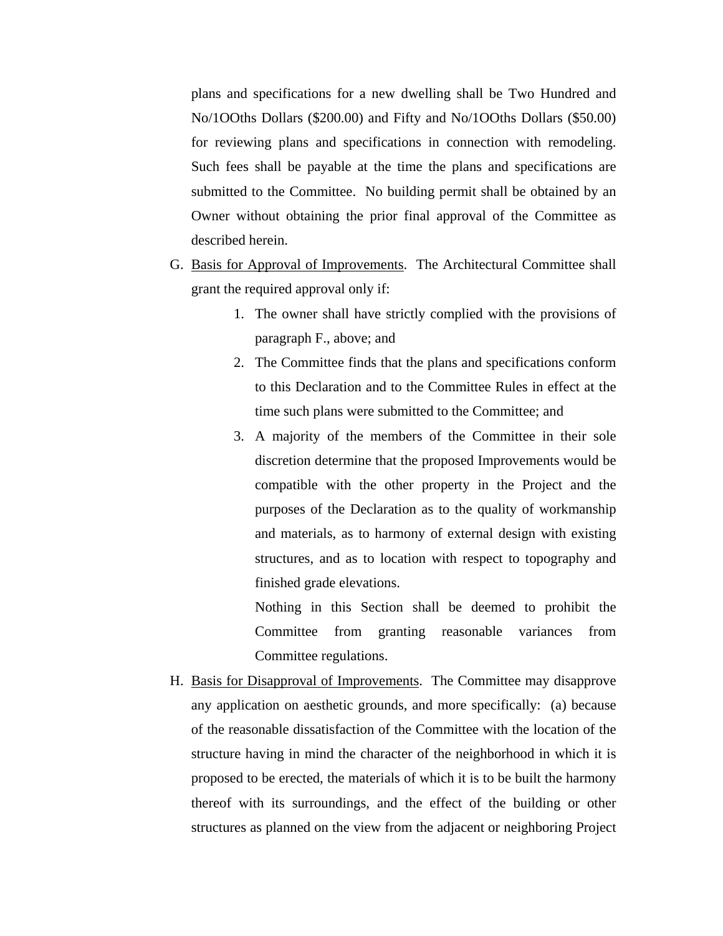plans and specifications for a new dwelling shall be Two Hundred and No/1OOths Dollars (\$200.00) and Fifty and No/1OOths Dollars (\$50.00) for reviewing plans and specifications in connection with remodeling. Such fees shall be payable at the time the plans and specifications are submitted to the Committee. No building permit shall be obtained by an Owner without obtaining the prior final approval of the Committee as described herein.

- G. Basis for Approval of Improvements. The Architectural Committee shall grant the required approval only if:
	- 1. The owner shall have strictly complied with the provisions of paragraph F., above; and
	- 2. The Committee finds that the plans and specifications conform to this Declaration and to the Committee Rules in effect at the time such plans were submitted to the Committee; and
	- 3. A majority of the members of the Committee in their sole discretion determine that the proposed Improvements would be compatible with the other property in the Project and the purposes of the Declaration as to the quality of workmanship and materials, as to harmony of external design with existing structures, and as to location with respect to topography and finished grade elevations.

Nothing in this Section shall be deemed to prohibit the Committee from granting reasonable variances from Committee regulations.

H. Basis for Disapproval of Improvements. The Committee may disapprove any application on aesthetic grounds, and more specifically: (a) because of the reasonable dissatisfaction of the Committee with the location of the structure having in mind the character of the neighborhood in which it is proposed to be erected, the materials of which it is to be built the harmony thereof with its surroundings, and the effect of the building or other structures as planned on the view from the adjacent or neighboring Project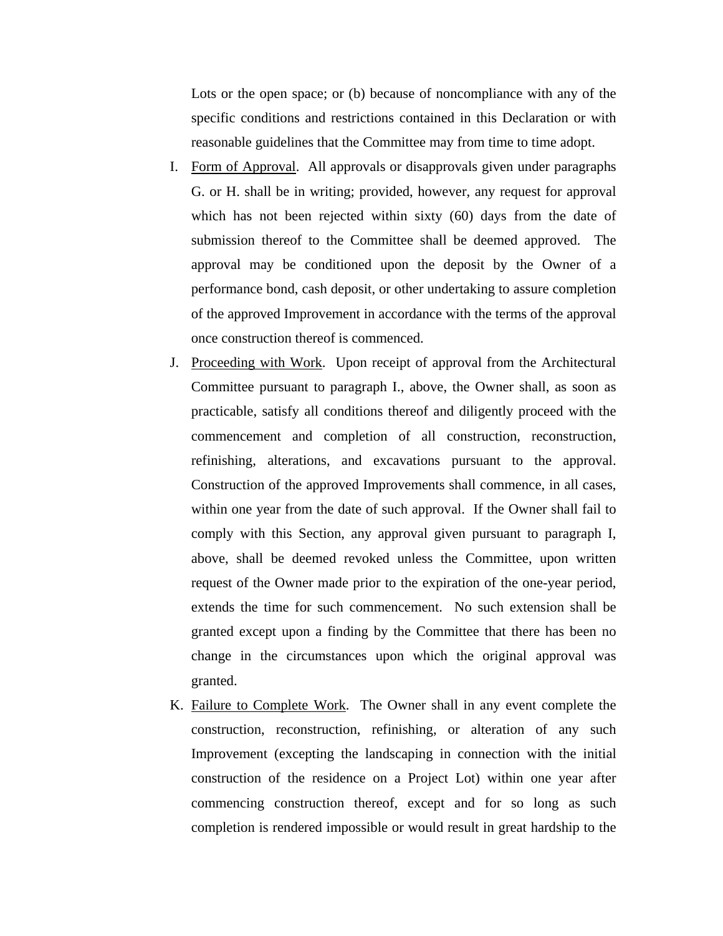Lots or the open space; or (b) because of noncompliance with any of the specific conditions and restrictions contained in this Declaration or with reasonable guidelines that the Committee may from time to time adopt.

- I. Form of Approval. All approvals or disapprovals given under paragraphs G. or H. shall be in writing; provided, however, any request for approval which has not been rejected within sixty (60) days from the date of submission thereof to the Committee shall be deemed approved. The approval may be conditioned upon the deposit by the Owner of a performance bond, cash deposit, or other undertaking to assure completion of the approved Improvement in accordance with the terms of the approval once construction thereof is commenced.
- J. Proceeding with Work. Upon receipt of approval from the Architectural Committee pursuant to paragraph I., above, the Owner shall, as soon as practicable, satisfy all conditions thereof and diligently proceed with the commencement and completion of all construction, reconstruction, refinishing, alterations, and excavations pursuant to the approval. Construction of the approved Improvements shall commence, in all cases, within one year from the date of such approval. If the Owner shall fail to comply with this Section, any approval given pursuant to paragraph I, above, shall be deemed revoked unless the Committee, upon written request of the Owner made prior to the expiration of the one-year period, extends the time for such commencement. No such extension shall be granted except upon a finding by the Committee that there has been no change in the circumstances upon which the original approval was granted.
- K. Failure to Complete Work. The Owner shall in any event complete the construction, reconstruction, refinishing, or alteration of any such Improvement (excepting the landscaping in connection with the initial construction of the residence on a Project Lot) within one year after commencing construction thereof, except and for so long as such completion is rendered impossible or would result in great hardship to the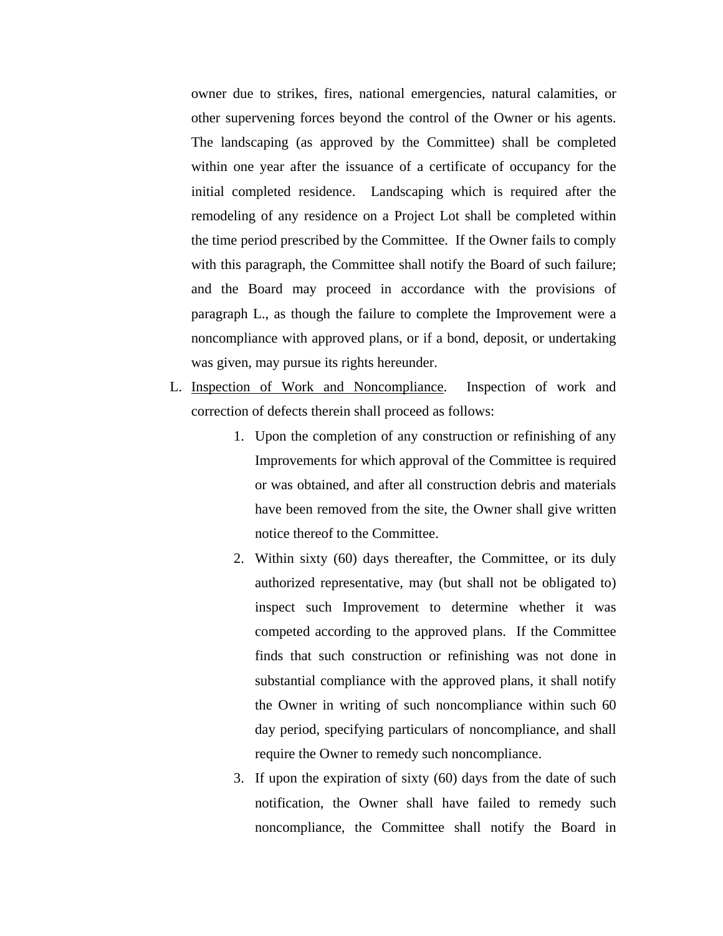owner due to strikes, fires, national emergencies, natural calamities, or other supervening forces beyond the control of the Owner or his agents. The landscaping (as approved by the Committee) shall be completed within one year after the issuance of a certificate of occupancy for the initial completed residence. Landscaping which is required after the remodeling of any residence on a Project Lot shall be completed within the time period prescribed by the Committee. If the Owner fails to comply with this paragraph, the Committee shall notify the Board of such failure; and the Board may proceed in accordance with the provisions of paragraph L., as though the failure to complete the Improvement were a noncompliance with approved plans, or if a bond, deposit, or undertaking was given, may pursue its rights hereunder.

- L. Inspection of Work and Noncompliance. Inspection of work and correction of defects therein shall proceed as follows:
	- 1. Upon the completion of any construction or refinishing of any Improvements for which approval of the Committee is required or was obtained, and after all construction debris and materials have been removed from the site, the Owner shall give written notice thereof to the Committee.
	- 2. Within sixty (60) days thereafter, the Committee, or its duly authorized representative, may (but shall not be obligated to) inspect such Improvement to determine whether it was competed according to the approved plans. If the Committee finds that such construction or refinishing was not done in substantial compliance with the approved plans, it shall notify the Owner in writing of such noncompliance within such 60 day period, specifying particulars of noncompliance, and shall require the Owner to remedy such noncompliance.
	- 3. If upon the expiration of sixty (60) days from the date of such notification, the Owner shall have failed to remedy such noncompliance, the Committee shall notify the Board in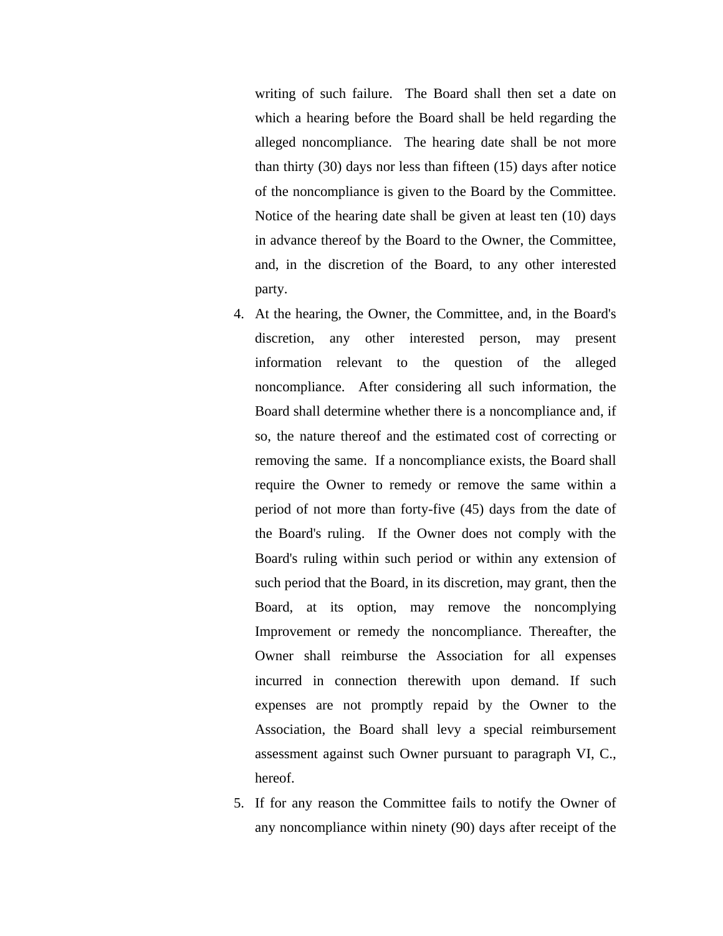writing of such failure. The Board shall then set a date on which a hearing before the Board shall be held regarding the alleged noncompliance. The hearing date shall be not more than thirty (30) days nor less than fifteen (15) days after notice of the noncompliance is given to the Board by the Committee. Notice of the hearing date shall be given at least ten (10) days in advance thereof by the Board to the Owner, the Committee, and, in the discretion of the Board, to any other interested party.

- 4. At the hearing, the Owner, the Committee, and, in the Board's discretion, any other interested person, may present information relevant to the question of the alleged noncompliance. After considering all such information, the Board shall determine whether there is a noncompliance and, if so, the nature thereof and the estimated cost of correcting or removing the same. If a noncompliance exists, the Board shall require the Owner to remedy or remove the same within a period of not more than forty-five (45) days from the date of the Board's ruling. If the Owner does not comply with the Board's ruling within such period or within any extension of such period that the Board, in its discretion, may grant, then the Board, at its option, may remove the noncomplying Improvement or remedy the noncompliance. Thereafter, the Owner shall reimburse the Association for all expenses incurred in connection therewith upon demand. If such expenses are not promptly repaid by the Owner to the Association, the Board shall levy a special reimbursement assessment against such Owner pursuant to paragraph VI, C., hereof.
- 5. If for any reason the Committee fails to notify the Owner of any noncompliance within ninety (90) days after receipt of the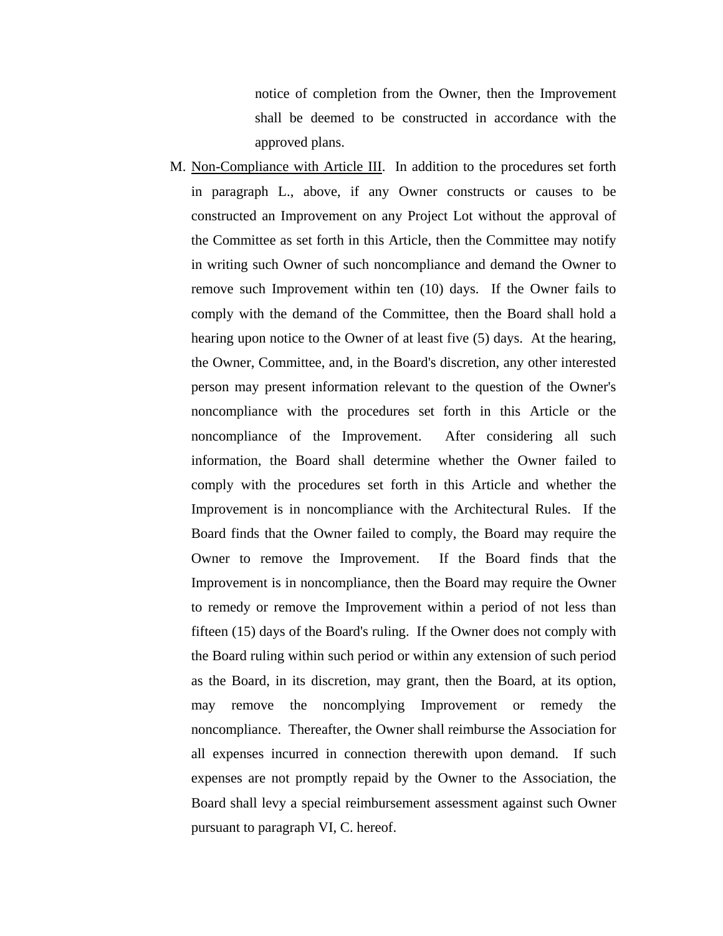notice of completion from the Owner, then the Improvement shall be deemed to be constructed in accordance with the approved plans.

M. Non-Compliance with Article III. In addition to the procedures set forth in paragraph L., above, if any Owner constructs or causes to be constructed an Improvement on any Project Lot without the approval of the Committee as set forth in this Article, then the Committee may notify in writing such Owner of such noncompliance and demand the Owner to remove such Improvement within ten (10) days. If the Owner fails to comply with the demand of the Committee, then the Board shall hold a hearing upon notice to the Owner of at least five (5) days. At the hearing, the Owner, Committee, and, in the Board's discretion, any other interested person may present information relevant to the question of the Owner's noncompliance with the procedures set forth in this Article or the noncompliance of the Improvement. After considering all such information, the Board shall determine whether the Owner failed to comply with the procedures set forth in this Article and whether the Improvement is in noncompliance with the Architectural Rules. If the Board finds that the Owner failed to comply, the Board may require the Owner to remove the Improvement. If the Board finds that the Improvement is in noncompliance, then the Board may require the Owner to remedy or remove the Improvement within a period of not less than fifteen (15) days of the Board's ruling. If the Owner does not comply with the Board ruling within such period or within any extension of such period as the Board, in its discretion, may grant, then the Board, at its option, may remove the noncomplying Improvement or remedy the noncompliance. Thereafter, the Owner shall reimburse the Association for all expenses incurred in connection therewith upon demand. If such expenses are not promptly repaid by the Owner to the Association, the Board shall levy a special reimbursement assessment against such Owner pursuant to paragraph VI, C. hereof.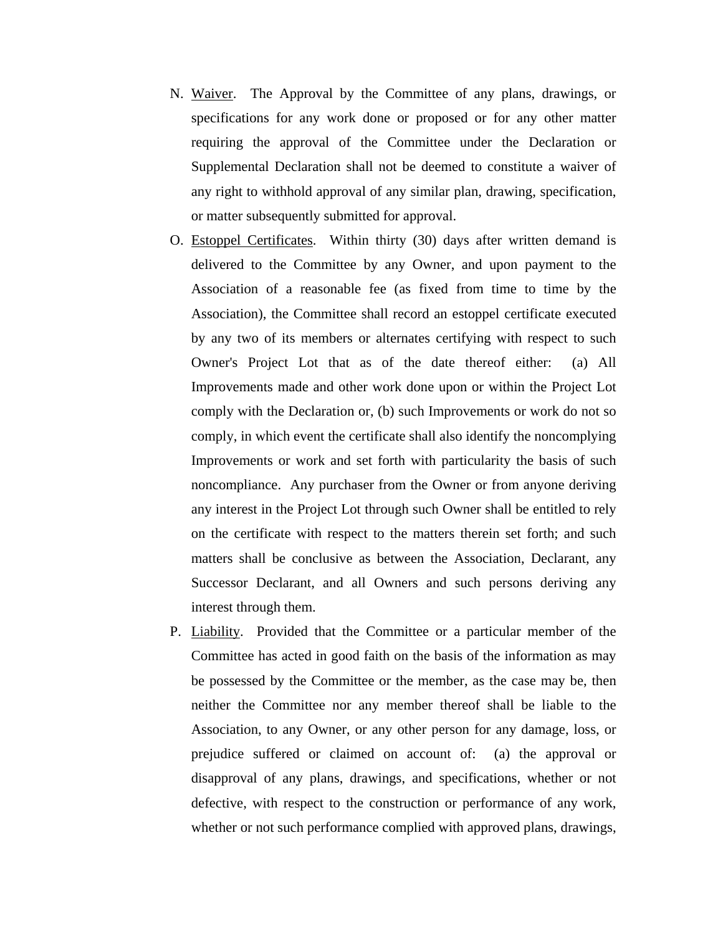- N. Waiver. The Approval by the Committee of any plans, drawings, or specifications for any work done or proposed or for any other matter requiring the approval of the Committee under the Declaration or Supplemental Declaration shall not be deemed to constitute a waiver of any right to withhold approval of any similar plan, drawing, specification, or matter subsequently submitted for approval.
- O. Estoppel Certificates. Within thirty (30) days after written demand is delivered to the Committee by any Owner, and upon payment to the Association of a reasonable fee (as fixed from time to time by the Association), the Committee shall record an estoppel certificate executed by any two of its members or alternates certifying with respect to such Owner's Project Lot that as of the date thereof either: (a) All Improvements made and other work done upon or within the Project Lot comply with the Declaration or, (b) such Improvements or work do not so comply, in which event the certificate shall also identify the noncomplying Improvements or work and set forth with particularity the basis of such noncompliance. Any purchaser from the Owner or from anyone deriving any interest in the Project Lot through such Owner shall be entitled to rely on the certificate with respect to the matters therein set forth; and such matters shall be conclusive as between the Association, Declarant, any Successor Declarant, and all Owners and such persons deriving any interest through them.
- P. Liability. Provided that the Committee or a particular member of the Committee has acted in good faith on the basis of the information as may be possessed by the Committee or the member, as the case may be, then neither the Committee nor any member thereof shall be liable to the Association, to any Owner, or any other person for any damage, loss, or prejudice suffered or claimed on account of: (a) the approval or disapproval of any plans, drawings, and specifications, whether or not defective, with respect to the construction or performance of any work, whether or not such performance complied with approved plans, drawings,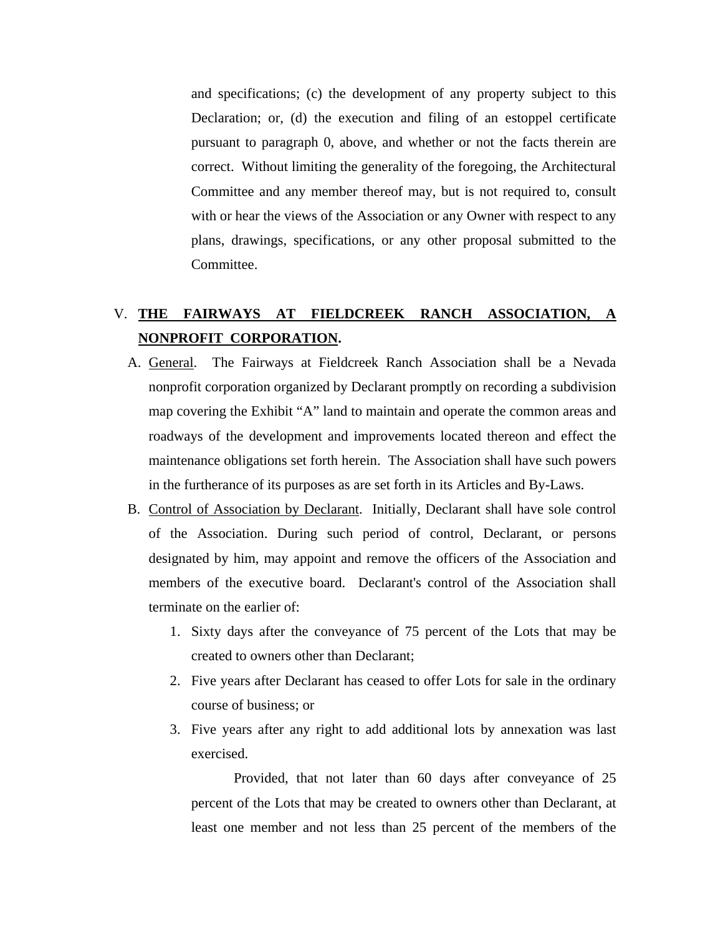and specifications; (c) the development of any property subject to this Declaration; or, (d) the execution and filing of an estoppel certificate pursuant to paragraph 0, above, and whether or not the facts therein are correct. Without limiting the generality of the foregoing, the Architectural Committee and any member thereof may, but is not required to, consult with or hear the views of the Association or any Owner with respect to any plans, drawings, specifications, or any other proposal submitted to the Committee.

# V. **THE FAIRWAYS AT FIELDCREEK RANCH ASSOCIATION, A NONPROFIT CORPORATION.**

- A. General. The Fairways at Fieldcreek Ranch Association shall be a Nevada nonprofit corporation organized by Declarant promptly on recording a subdivision map covering the Exhibit "A" land to maintain and operate the common areas and roadways of the development and improvements located thereon and effect the maintenance obligations set forth herein. The Association shall have such powers in the furtherance of its purposes as are set forth in its Articles and By-Laws.
- B. Control of Association by Declarant. Initially, Declarant shall have sole control of the Association. During such period of control, Declarant, or persons designated by him, may appoint and remove the officers of the Association and members of the executive board. Declarant's control of the Association shall terminate on the earlier of:
	- 1. Sixty days after the conveyance of 75 percent of the Lots that may be created to owners other than Declarant;
	- 2. Five years after Declarant has ceased to offer Lots for sale in the ordinary course of business; or
	- 3. Five years after any right to add additional lots by annexation was last exercised.

Provided, that not later than 60 days after conveyance of 25 percent of the Lots that may be created to owners other than Declarant, at least one member and not less than 25 percent of the members of the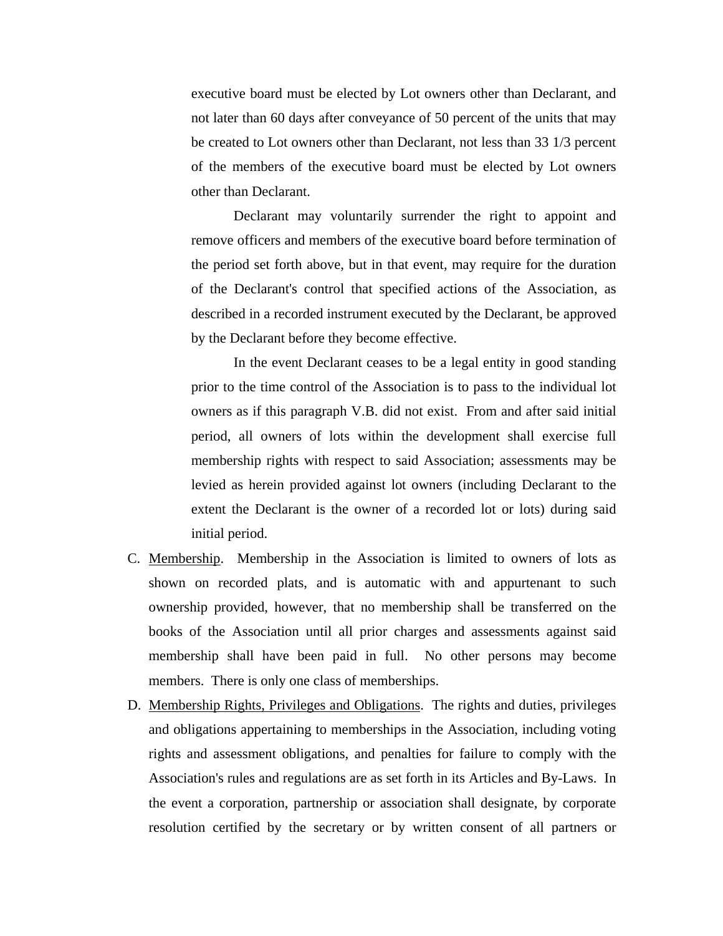executive board must be elected by Lot owners other than Declarant, and not later than 60 days after conveyance of 50 percent of the units that may be created to Lot owners other than Declarant, not less than 33 1/3 percent of the members of the executive board must be elected by Lot owners other than Declarant.

Declarant may voluntarily surrender the right to appoint and remove officers and members of the executive board before termination of the period set forth above, but in that event, may require for the duration of the Declarant's control that specified actions of the Association, as described in a recorded instrument executed by the Declarant, be approved by the Declarant before they become effective.

In the event Declarant ceases to be a legal entity in good standing prior to the time control of the Association is to pass to the individual lot owners as if this paragraph V.B. did not exist. From and after said initial period, all owners of lots within the development shall exercise full membership rights with respect to said Association; assessments may be levied as herein provided against lot owners (including Declarant to the extent the Declarant is the owner of a recorded lot or lots) during said initial period.

- C. Membership. Membership in the Association is limited to owners of lots as shown on recorded plats, and is automatic with and appurtenant to such ownership provided, however, that no membership shall be transferred on the books of the Association until all prior charges and assessments against said membership shall have been paid in full. No other persons may become members. There is only one class of memberships.
- D. Membership Rights, Privileges and Obligations. The rights and duties, privileges and obligations appertaining to memberships in the Association, including voting rights and assessment obligations, and penalties for failure to comply with the Association's rules and regulations are as set forth in its Articles and By-Laws. In the event a corporation, partnership or association shall designate, by corporate resolution certified by the secretary or by written consent of all partners or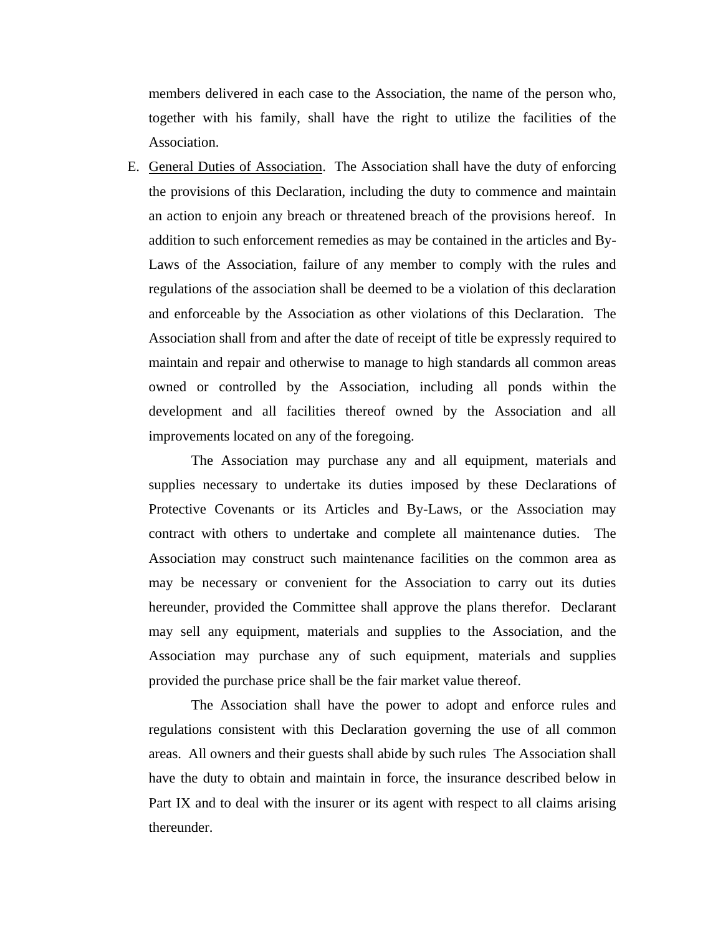members delivered in each case to the Association, the name of the person who, together with his family, shall have the right to utilize the facilities of the Association.

E. General Duties of Association. The Association shall have the duty of enforcing the provisions of this Declaration, including the duty to commence and maintain an action to enjoin any breach or threatened breach of the provisions hereof. In addition to such enforcement remedies as may be contained in the articles and By-Laws of the Association, failure of any member to comply with the rules and regulations of the association shall be deemed to be a violation of this declaration and enforceable by the Association as other violations of this Declaration. The Association shall from and after the date of receipt of title be expressly required to maintain and repair and otherwise to manage to high standards all common areas owned or controlled by the Association, including all ponds within the development and all facilities thereof owned by the Association and all improvements located on any of the foregoing.

The Association may purchase any and all equipment, materials and supplies necessary to undertake its duties imposed by these Declarations of Protective Covenants or its Articles and By-Laws, or the Association may contract with others to undertake and complete all maintenance duties. The Association may construct such maintenance facilities on the common area as may be necessary or convenient for the Association to carry out its duties hereunder, provided the Committee shall approve the plans therefor. Declarant may sell any equipment, materials and supplies to the Association, and the Association may purchase any of such equipment, materials and supplies provided the purchase price shall be the fair market value thereof.

The Association shall have the power to adopt and enforce rules and regulations consistent with this Declaration governing the use of all common areas. All owners and their guests shall abide by such rules The Association shall have the duty to obtain and maintain in force, the insurance described below in Part IX and to deal with the insurer or its agent with respect to all claims arising thereunder.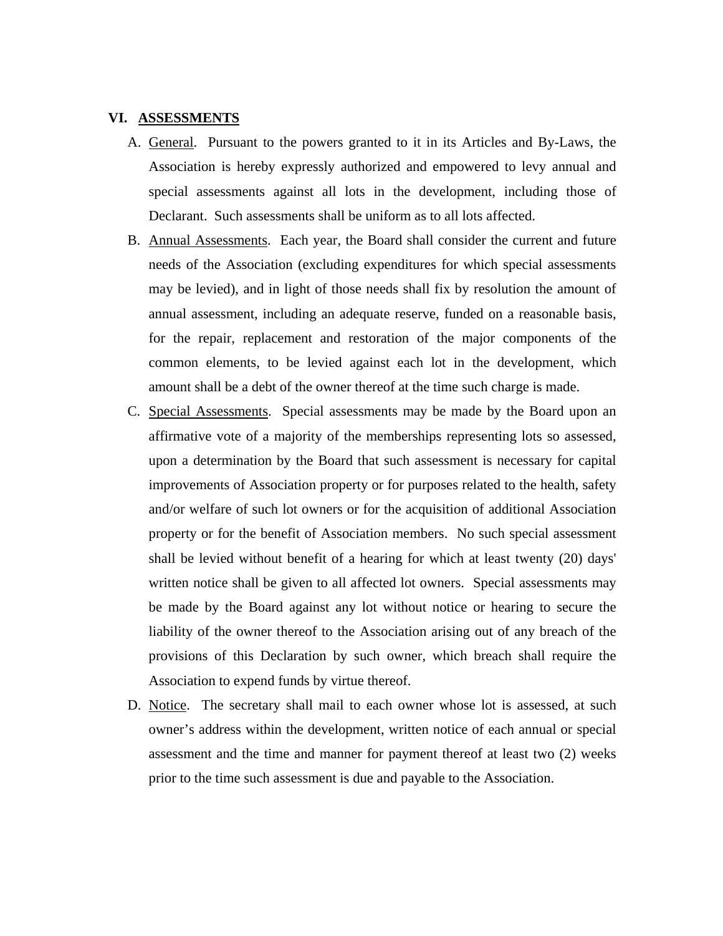#### **VI. ASSESSMENTS**

- A. General. Pursuant to the powers granted to it in its Articles and By-Laws, the Association is hereby expressly authorized and empowered to levy annual and special assessments against all lots in the development, including those of Declarant. Such assessments shall be uniform as to all lots affected.
- B. Annual Assessments. Each year, the Board shall consider the current and future needs of the Association (excluding expenditures for which special assessments may be levied), and in light of those needs shall fix by resolution the amount of annual assessment, including an adequate reserve, funded on a reasonable basis, for the repair, replacement and restoration of the major components of the common elements, to be levied against each lot in the development, which amount shall be a debt of the owner thereof at the time such charge is made.
- C. Special Assessments. Special assessments may be made by the Board upon an affirmative vote of a majority of the memberships representing lots so assessed, upon a determination by the Board that such assessment is necessary for capital improvements of Association property or for purposes related to the health, safety and/or welfare of such lot owners or for the acquisition of additional Association property or for the benefit of Association members. No such special assessment shall be levied without benefit of a hearing for which at least twenty (20) days' written notice shall be given to all affected lot owners. Special assessments may be made by the Board against any lot without notice or hearing to secure the liability of the owner thereof to the Association arising out of any breach of the provisions of this Declaration by such owner, which breach shall require the Association to expend funds by virtue thereof.
- D. Notice. The secretary shall mail to each owner whose lot is assessed, at such owner's address within the development, written notice of each annual or special assessment and the time and manner for payment thereof at least two (2) weeks prior to the time such assessment is due and payable to the Association.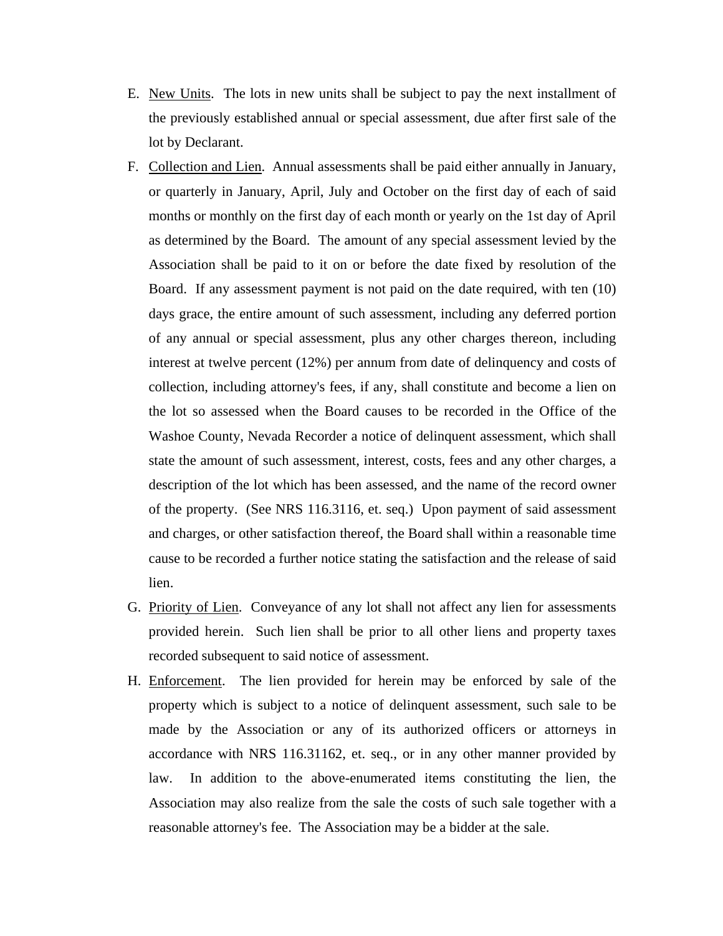- E. New Units. The lots in new units shall be subject to pay the next installment of the previously established annual or special assessment, due after first sale of the lot by Declarant.
- F. Collection and Lien. Annual assessments shall be paid either annually in January, or quarterly in January, April, July and October on the first day of each of said months or monthly on the first day of each month or yearly on the 1st day of April as determined by the Board. The amount of any special assessment levied by the Association shall be paid to it on or before the date fixed by resolution of the Board. If any assessment payment is not paid on the date required, with ten (10) days grace, the entire amount of such assessment, including any deferred portion of any annual or special assessment, plus any other charges thereon, including interest at twelve percent (12%) per annum from date of delinquency and costs of collection, including attorney's fees, if any, shall constitute and become a lien on the lot so assessed when the Board causes to be recorded in the Office of the Washoe County, Nevada Recorder a notice of delinquent assessment, which shall state the amount of such assessment, interest, costs, fees and any other charges, a description of the lot which has been assessed, and the name of the record owner of the property. (See NRS 116.3116, et. seq.) Upon payment of said assessment and charges, or other satisfaction thereof, the Board shall within a reasonable time cause to be recorded a further notice stating the satisfaction and the release of said lien.
- G. Priority of Lien. Conveyance of any lot shall not affect any lien for assessments provided herein. Such lien shall be prior to all other liens and property taxes recorded subsequent to said notice of assessment.
- H. Enforcement. The lien provided for herein may be enforced by sale of the property which is subject to a notice of delinquent assessment, such sale to be made by the Association or any of its authorized officers or attorneys in accordance with NRS 116.31162, et. seq., or in any other manner provided by law. In addition to the above-enumerated items constituting the lien, the Association may also realize from the sale the costs of such sale together with a reasonable attorney's fee. The Association may be a bidder at the sale.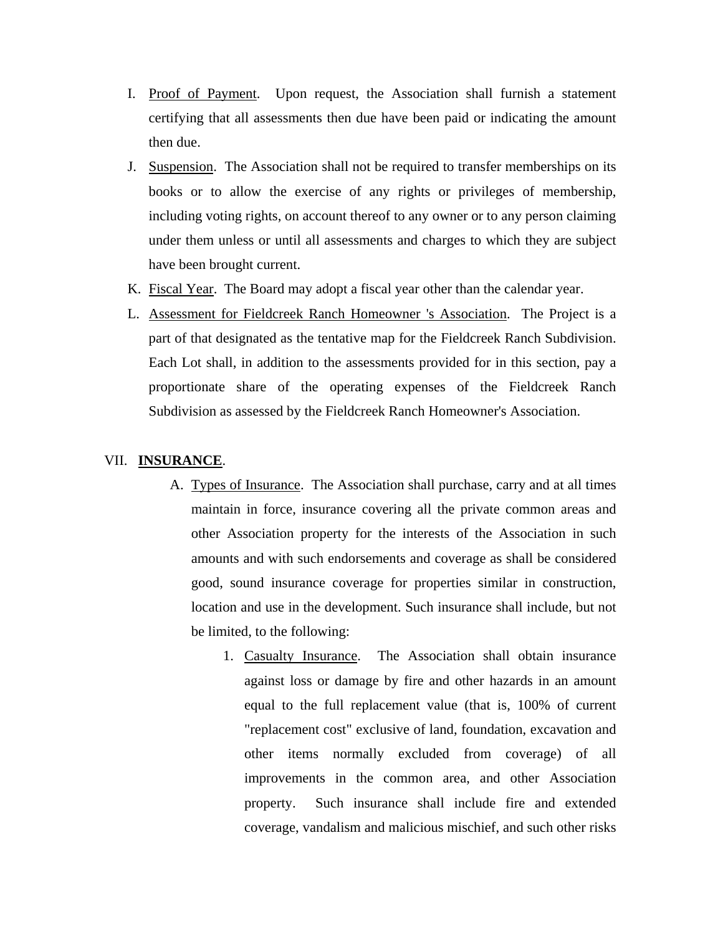- I. Proof of Payment. Upon request, the Association shall furnish a statement certifying that all assessments then due have been paid or indicating the amount then due.
- J. Suspension. The Association shall not be required to transfer memberships on its books or to allow the exercise of any rights or privileges of membership, including voting rights, on account thereof to any owner or to any person claiming under them unless or until all assessments and charges to which they are subject have been brought current.
- K. Fiscal Year. The Board may adopt a fiscal year other than the calendar year.
- L. Assessment for Fieldcreek Ranch Homeowner 's Association. The Project is a part of that designated as the tentative map for the Fieldcreek Ranch Subdivision. Each Lot shall, in addition to the assessments provided for in this section, pay a proportionate share of the operating expenses of the Fieldcreek Ranch Subdivision as assessed by the Fieldcreek Ranch Homeowner's Association.

## VII. **INSURANCE**.

- A. Types of Insurance. The Association shall purchase, carry and at all times maintain in force, insurance covering all the private common areas and other Association property for the interests of the Association in such amounts and with such endorsements and coverage as shall be considered good, sound insurance coverage for properties similar in construction, location and use in the development. Such insurance shall include, but not be limited, to the following:
	- 1. Casualty Insurance. The Association shall obtain insurance against loss or damage by fire and other hazards in an amount equal to the full replacement value (that is, 100% of current "replacement cost" exclusive of land, foundation, excavation and other items normally excluded from coverage) of all improvements in the common area, and other Association property. Such insurance shall include fire and extended coverage, vandalism and malicious mischief, and such other risks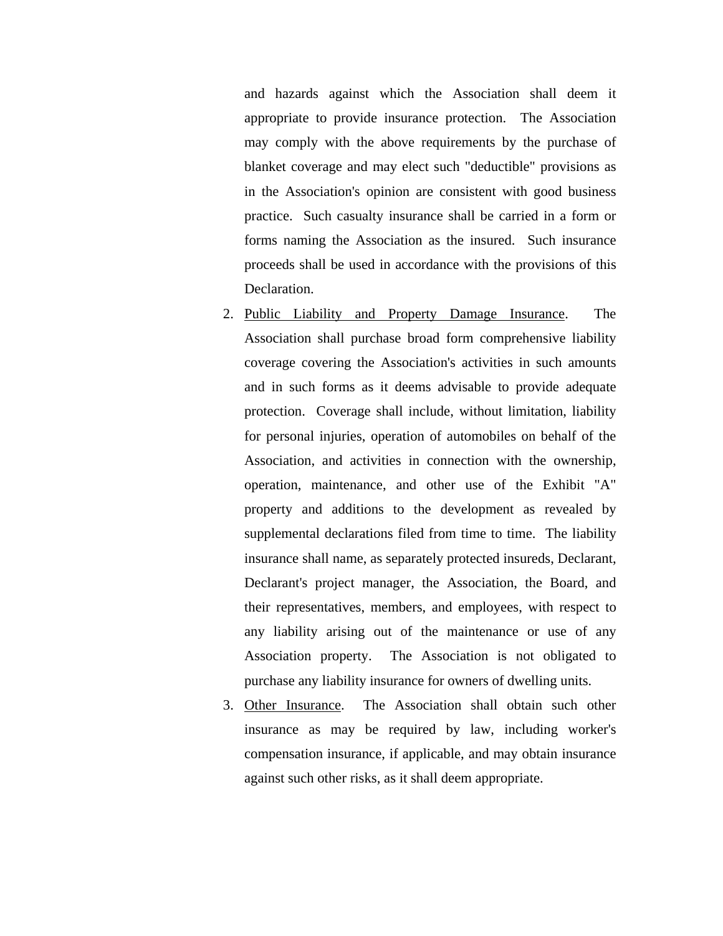and hazards against which the Association shall deem it appropriate to provide insurance protection. The Association may comply with the above requirements by the purchase of blanket coverage and may elect such "deductible" provisions as in the Association's opinion are consistent with good business practice. Such casualty insurance shall be carried in a form or forms naming the Association as the insured. Such insurance proceeds shall be used in accordance with the provisions of this Declaration.

- 2. Public Liability and Property Damage Insurance. The Association shall purchase broad form comprehensive liability coverage covering the Association's activities in such amounts and in such forms as it deems advisable to provide adequate protection. Coverage shall include, without limitation, liability for personal injuries, operation of automobiles on behalf of the Association, and activities in connection with the ownership, operation, maintenance, and other use of the Exhibit "A" property and additions to the development as revealed by supplemental declarations filed from time to time. The liability insurance shall name, as separately protected insureds, Declarant, Declarant's project manager, the Association, the Board, and their representatives, members, and employees, with respect to any liability arising out of the maintenance or use of any Association property. The Association is not obligated to purchase any liability insurance for owners of dwelling units.
- 3. Other Insurance. The Association shall obtain such other insurance as may be required by law, including worker's compensation insurance, if applicable, and may obtain insurance against such other risks, as it shall deem appropriate.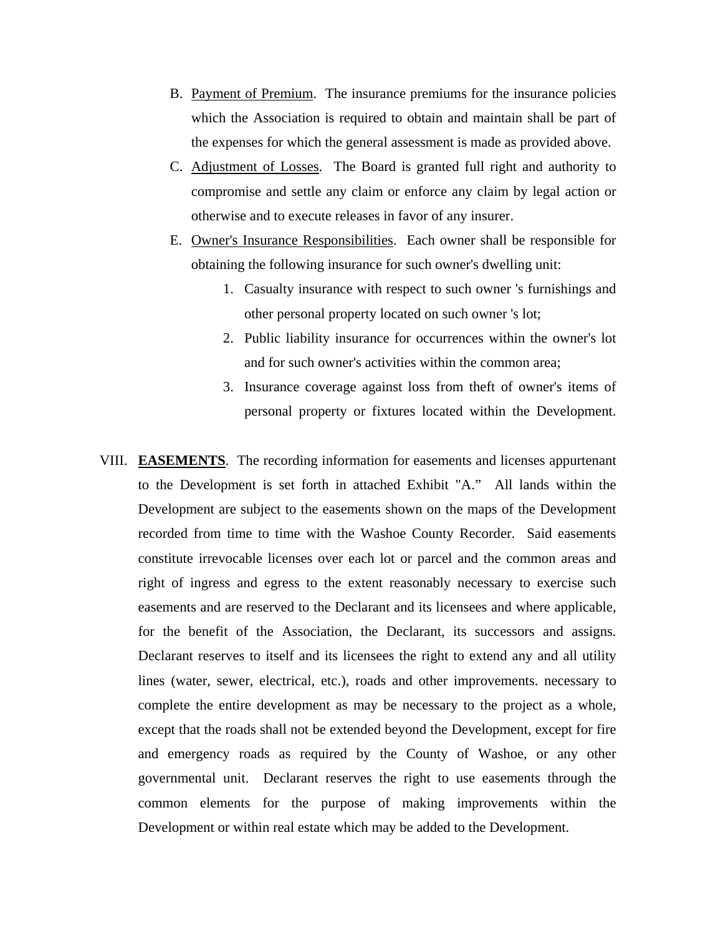- B. Payment of Premium. The insurance premiums for the insurance policies which the Association is required to obtain and maintain shall be part of the expenses for which the general assessment is made as provided above.
- C. Adjustment of Losses. The Board is granted full right and authority to compromise and settle any claim or enforce any claim by legal action or otherwise and to execute releases in favor of any insurer.
- E. Owner's Insurance Responsibilities. Each owner shall be responsible for obtaining the following insurance for such owner's dwelling unit:
	- 1. Casualty insurance with respect to such owner 's furnishings and other personal property located on such owner 's lot;
	- 2. Public liability insurance for occurrences within the owner's lot and for such owner's activities within the common area;
	- 3. Insurance coverage against loss from theft of owner's items of personal property or fixtures located within the Development.
- VIII. **EASEMENTS**. The recording information for easements and licenses appurtenant to the Development is set forth in attached Exhibit "A." All lands within the Development are subject to the easements shown on the maps of the Development recorded from time to time with the Washoe County Recorder. Said easements constitute irrevocable licenses over each lot or parcel and the common areas and right of ingress and egress to the extent reasonably necessary to exercise such easements and are reserved to the Declarant and its licensees and where applicable, for the benefit of the Association, the Declarant, its successors and assigns. Declarant reserves to itself and its licensees the right to extend any and all utility lines (water, sewer, electrical, etc.), roads and other improvements. necessary to complete the entire development as may be necessary to the project as a whole, except that the roads shall not be extended beyond the Development, except for fire and emergency roads as required by the County of Washoe, or any other governmental unit. Declarant reserves the right to use easements through the common elements for the purpose of making improvements within the Development or within real estate which may be added to the Development.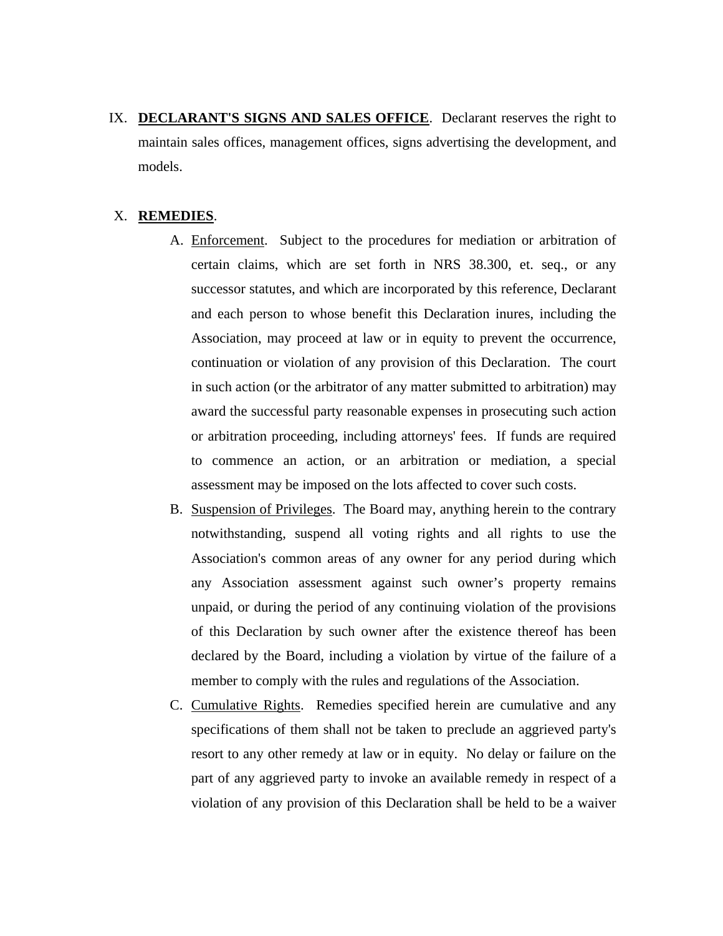IX. **DECLARANT'S SIGNS AND SALES OFFICE**. Declarant reserves the right to maintain sales offices, management offices, signs advertising the development, and models.

## X. **REMEDIES**.

- A. Enforcement. Subject to the procedures for mediation or arbitration of certain claims, which are set forth in NRS 38.300, et. seq., or any successor statutes, and which are incorporated by this reference, Declarant and each person to whose benefit this Declaration inures, including the Association, may proceed at law or in equity to prevent the occurrence, continuation or violation of any provision of this Declaration. The court in such action (or the arbitrator of any matter submitted to arbitration) may award the successful party reasonable expenses in prosecuting such action or arbitration proceeding, including attorneys' fees. If funds are required to commence an action, or an arbitration or mediation, a special assessment may be imposed on the lots affected to cover such costs.
- B. Suspension of Privileges. The Board may, anything herein to the contrary notwithstanding, suspend all voting rights and all rights to use the Association's common areas of any owner for any period during which any Association assessment against such owner's property remains unpaid, or during the period of any continuing violation of the provisions of this Declaration by such owner after the existence thereof has been declared by the Board, including a violation by virtue of the failure of a member to comply with the rules and regulations of the Association.
- C. Cumulative Rights. Remedies specified herein are cumulative and any specifications of them shall not be taken to preclude an aggrieved party's resort to any other remedy at law or in equity. No delay or failure on the part of any aggrieved party to invoke an available remedy in respect of a violation of any provision of this Declaration shall be held to be a waiver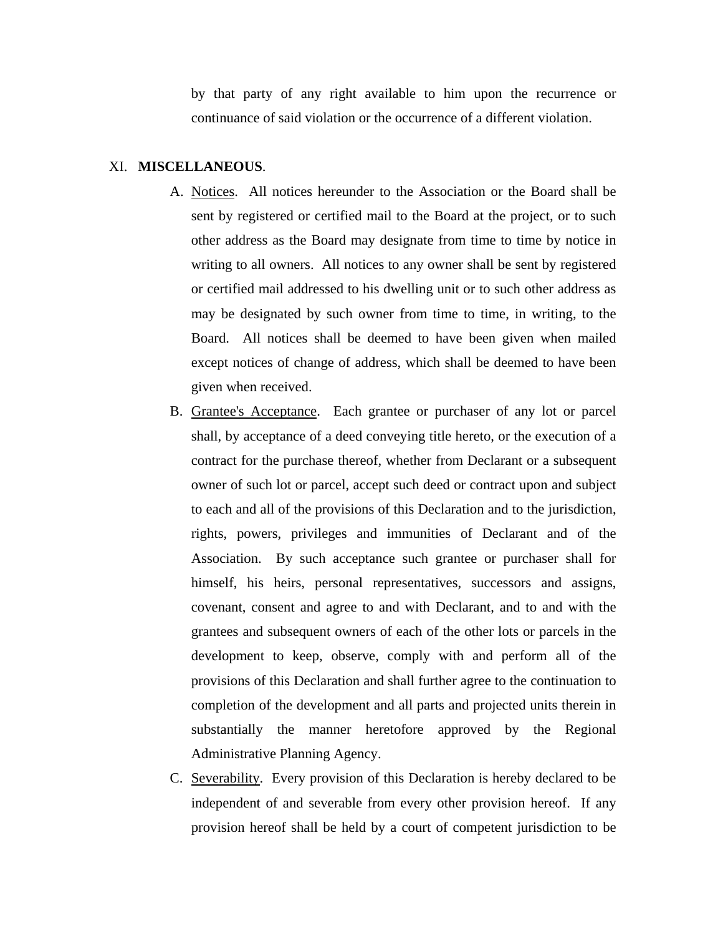by that party of any right available to him upon the recurrence or continuance of said violation or the occurrence of a different violation.

### XI. **MISCELLANEOUS**.

- A. Notices. All notices hereunder to the Association or the Board shall be sent by registered or certified mail to the Board at the project, or to such other address as the Board may designate from time to time by notice in writing to all owners. All notices to any owner shall be sent by registered or certified mail addressed to his dwelling unit or to such other address as may be designated by such owner from time to time, in writing, to the Board. All notices shall be deemed to have been given when mailed except notices of change of address, which shall be deemed to have been given when received.
- B. Grantee's Acceptance. Each grantee or purchaser of any lot or parcel shall, by acceptance of a deed conveying title hereto, or the execution of a contract for the purchase thereof, whether from Declarant or a subsequent owner of such lot or parcel, accept such deed or contract upon and subject to each and all of the provisions of this Declaration and to the jurisdiction, rights, powers, privileges and immunities of Declarant and of the Association. By such acceptance such grantee or purchaser shall for himself, his heirs, personal representatives, successors and assigns, covenant, consent and agree to and with Declarant, and to and with the grantees and subsequent owners of each of the other lots or parcels in the development to keep, observe, comply with and perform all of the provisions of this Declaration and shall further agree to the continuation to completion of the development and all parts and projected units therein in substantially the manner heretofore approved by the Regional Administrative Planning Agency.
- C. Severability. Every provision of this Declaration is hereby declared to be independent of and severable from every other provision hereof. If any provision hereof shall be held by a court of competent jurisdiction to be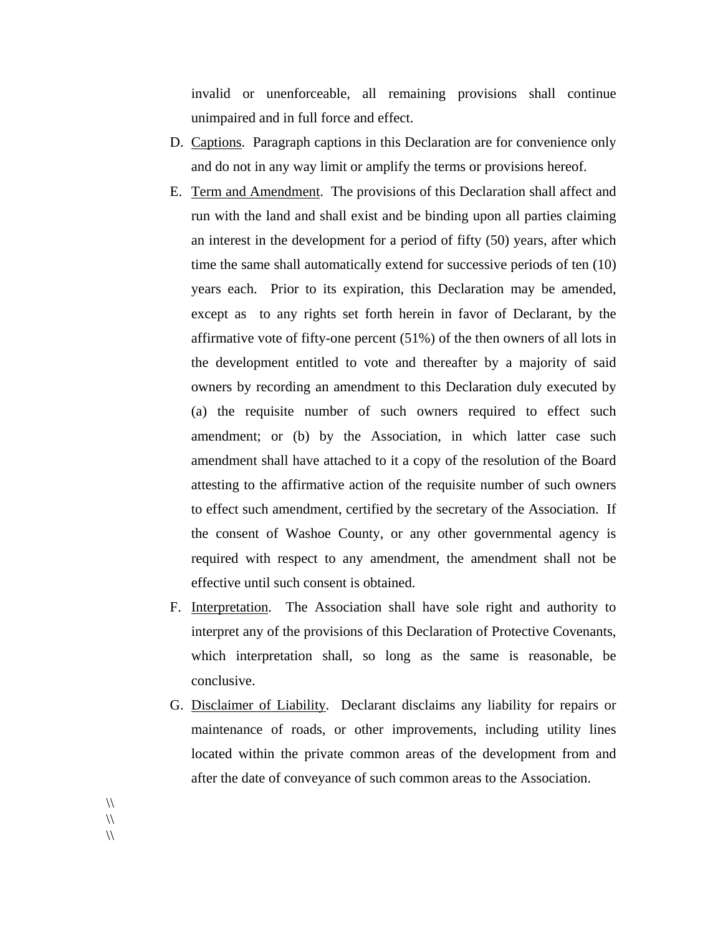invalid or unenforceable, all remaining provisions shall continue unimpaired and in full force and effect.

- D. Captions. Paragraph captions in this Declaration are for convenience only and do not in any way limit or amplify the terms or provisions hereof.
- E. Term and Amendment. The provisions of this Declaration shall affect and run with the land and shall exist and be binding upon all parties claiming an interest in the development for a period of fifty (50) years, after which time the same shall automatically extend for successive periods of ten (10) years each. Prior to its expiration, this Declaration may be amended, except as to any rights set forth herein in favor of Declarant, by the affirmative vote of fifty-one percent (51%) of the then owners of all lots in the development entitled to vote and thereafter by a majority of said owners by recording an amendment to this Declaration duly executed by (a) the requisite number of such owners required to effect such amendment; or (b) by the Association, in which latter case such amendment shall have attached to it a copy of the resolution of the Board attesting to the affirmative action of the requisite number of such owners to effect such amendment, certified by the secretary of the Association. If the consent of Washoe County, or any other governmental agency is required with respect to any amendment, the amendment shall not be effective until such consent is obtained.
- F. Interpretation. The Association shall have sole right and authority to interpret any of the provisions of this Declaration of Protective Covenants, which interpretation shall, so long as the same is reasonable, be conclusive.
- G. Disclaimer of Liability. Declarant disclaims any liability for repairs or maintenance of roads, or other improvements, including utility lines located within the private common areas of the development from and after the date of conveyance of such common areas to the Association.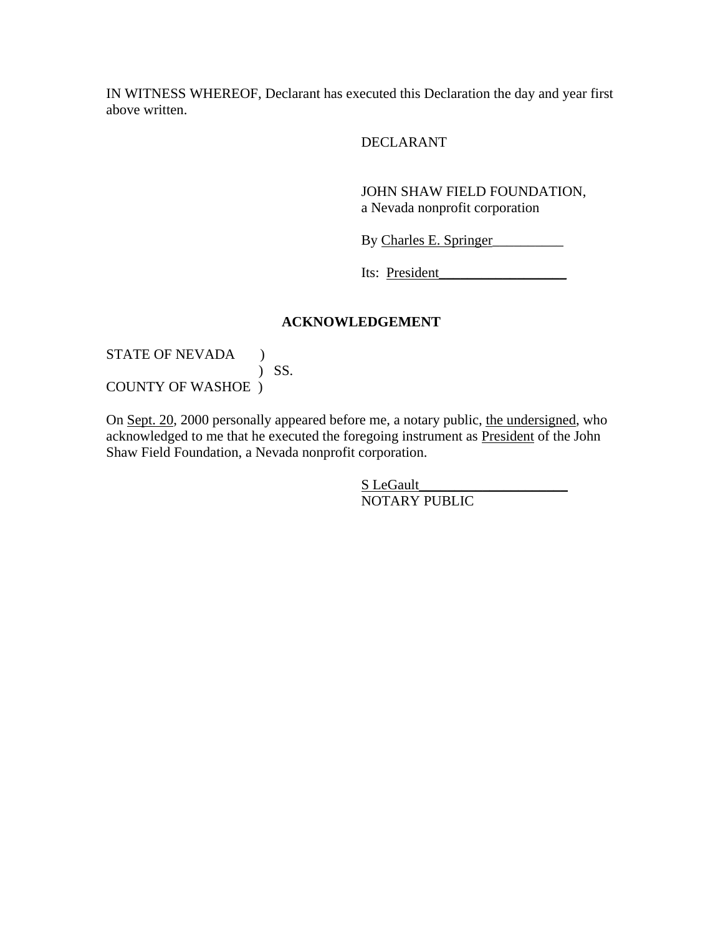IN WITNESS WHEREOF, Declarant has executed this Declaration the day and year first above written.

DECLARANT

JOHN SHAW FIELD FOUNDATION, a Nevada nonprofit corporation

By Charles E. Springer\_\_\_\_\_\_\_\_\_\_

Its: President\_

## **ACKNOWLEDGEMENT**

STATE OF NEVADA ) ) SS. COUNTY OF WASHOE )

On Sept. 20, 2000 personally appeared before me, a notary public, the undersigned, who acknowledged to me that he executed the foregoing instrument as President of the John Shaw Field Foundation, a Nevada nonprofit corporation.

> S LeGault NOTARY PUBLIC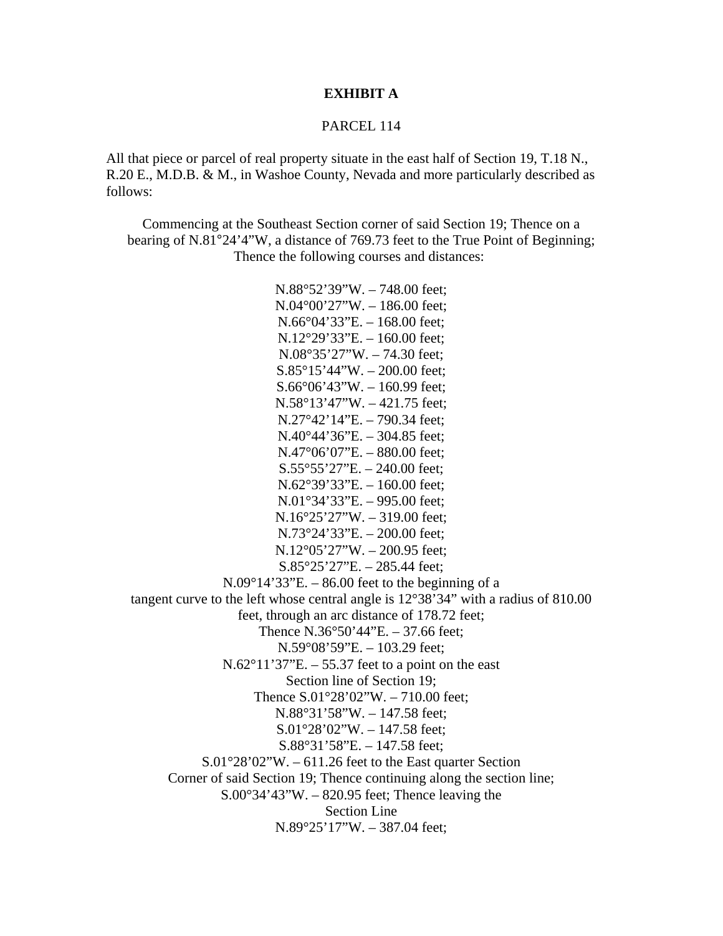## **EXHIBIT A**

### PARCEL 114

All that piece or parcel of real property situate in the east half of Section 19, T.18 N., R.20 E., M.D.B. & M., in Washoe County, Nevada and more particularly described as follows:

Commencing at the Southeast Section corner of said Section 19; Thence on a bearing of N.81°24'4"W, a distance of 769.73 feet to the True Point of Beginning; Thence the following courses and distances:

N.88°52'39"W. – 748.00 feet; N.04°00'27"W. – 186.00 feet; N.66°04'33"E. – 168.00 feet; N.12°29'33"E. – 160.00 feet; N.08°35'27"W. – 74.30 feet; S.85°15'44"W. – 200.00 feet; S.66°06'43"W. – 160.99 feet; N.58°13'47"W. – 421.75 feet; N.27°42'14"E. – 790.34 feet; N.40°44'36"E. – 304.85 feet; N.47°06'07"E. – 880.00 feet; S.55°55'27"E. – 240.00 feet; N.62°39'33"E. – 160.00 feet; N.01°34'33"E. – 995.00 feet; N.16°25'27"W. – 319.00 feet; N.73°24'33"E. – 200.00 feet; N.12°05'27"W. – 200.95 feet; S.85°25'27"E. – 285.44 feet;  $N.09^{\circ}14'33''E. - 86.00$  feet to the beginning of a tangent curve to the left whose central angle is 12°38'34" with a radius of 810.00 feet, through an arc distance of 178.72 feet; Thence N.36°50'44"E. – 37.66 feet; N.59°08'59"E. – 103.29 feet;  $N.62^{\circ}11'37''E. - 55.37$  feet to a point on the east Section line of Section 19; Thence  $S.01^{\circ}28'02''W. - 710.00$  feet; N.88°31'58"W. – 147.58 feet; S.01°28'02"W. – 147.58 feet; S.88°31'58"E. – 147.58 feet; S.01°28'02"W. – 611.26 feet to the East quarter Section Corner of said Section 19; Thence continuing along the section line;  $S.00^{\circ}34'43''W. - 820.95$  feet; Thence leaving the Section Line N.89°25'17"W. – 387.04 feet;